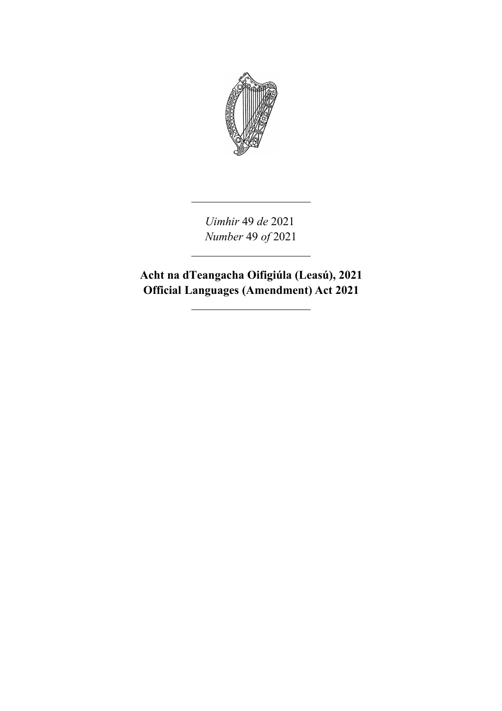

*Uimhir* 49 *de* 2021 *Number* 49 *of* 2021

**Acht na dTeangacha Oifigiúla (Leasú), 2021 Official Languages (Amendment) Act 2021**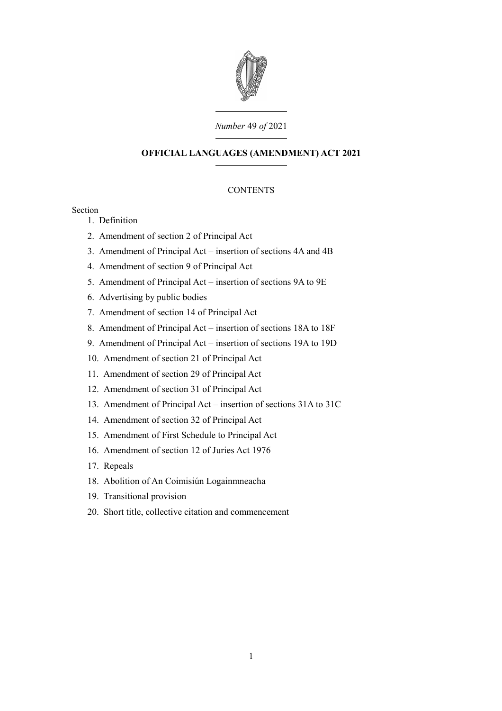

## *Number* 49 *of* 2021

# **OFFICIAL LANGUAGES (AMENDMENT) ACT 2021**

# **CONTENTS**

Section

- 1. [Definition](#page-6-0)
- 2. [Amendment of section 2 of Principal Act](#page-6-1)
- 3. [Amendment of Principal Act insertion of sections 4A and 4B](#page-8-1)
- 4. [Amendment of section 9 of Principal Act](#page-8-0)
- 5. [Amendment of Principal Act insertion of sections 9A to 9E](#page-10-0)
- 6. [Advertising by public bodies](#page-18-1)
- 7. [Amendment of section 14 of Principal Act](#page-18-0)
- 8. [Amendment of Principal Act insertion of sections 18A to 18F](#page-20-0)
- 9. [Amendment of Principal Act insertion of sections 19A to 19D](#page-30-0)
- 10. [Amendment of section 21 of Principal Act](#page-42-3)
- 11. [Amendment of section 29 of Principal Act](#page-42-2)
- 12. [Amendment of section 31 of Principal Act](#page-42-1)
- 13. [Amendment of Principal Act insertion of sections 31A to 31C](#page-42-0)
- 14. [Amendment of section 32 of Principal Act](#page-46-1)
- 15. [Amendment of First Schedule to Principal Act](#page-46-0)
- 16. [Amendment of section 12 of Juries Act 1976](#page-48-2)
- 17. [Repeals](#page-48-1)
- 18. [Abolition of An Coimisiún Logainmneacha](#page-48-0)
- 19. [Transitional provision](#page-50-1)
- 20. [Short title, collective citation and commencement](#page-50-0)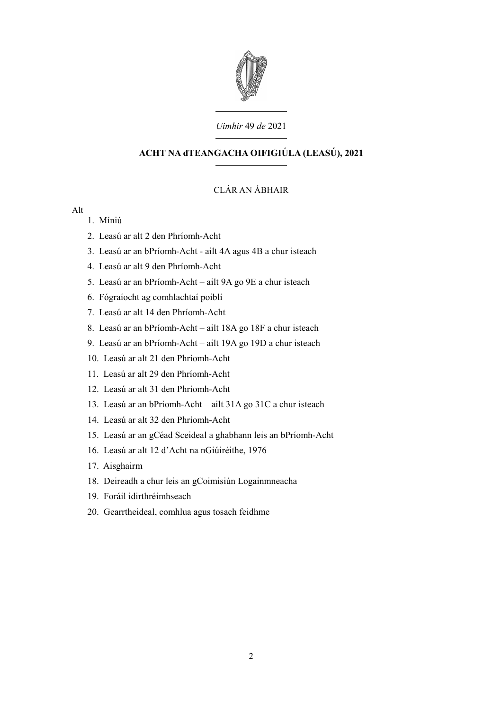

## *Uimhir* 49 *de* 2021

# **ACHT NA dTEANGACHA OIFIGIÚLA (LEASÚ), 2021**

# CLÁR AN ÁBHAIR

## Alt

- 1. Míniú
- 2. Leasú ar alt 2 den Phríomh-Acht
- 3. Leasú ar an bPríomh-Acht ailt 4A agus 4B a chur isteach
- 4. Leasú ar alt 9 den Phríomh-Acht
- 5. Leasú ar an bPríomh-Acht ailt 9A go 9E a chur isteach
- 6. Fógraíocht ag comhlachtaí poiblí
- 7. Leasú ar alt 14 den Phríomh-Acht
- 8. Leasú ar an bPríomh-Acht ailt 18A go 18F a chur isteach
- 9. Leasú ar an bPríomh-Acht ailt 19A go 19D a chur isteach
- 10. Leasú ar alt 21 den Phríomh-Acht
- 11. Leasú ar alt 29 den Phríomh-Acht
- 12. Leasú ar alt 31 den Phríomh-Acht
- 13. Leasú ar an bPríomh-Acht ailt 31A go 31C a chur isteach
- 14. Leasú ar alt 32 den Phríomh-Acht
- 15. Leasú ar an gCéad Sceideal a ghabhann leis an bPríomh-Acht
- 16. Leasú ar alt 12 d'Acht na nGiúiréithe, 1976
- 17. Aisghairm
- 18. Deireadh a chur leis an gCoimisiún Logainmneacha
- 19. Foráil idirthréimhseach
- 20. Gearrtheideal, comhlua agus tosach feidhme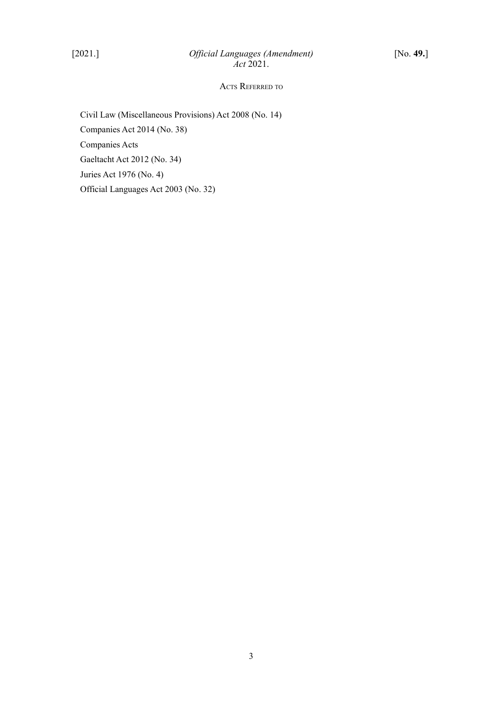## ACTS REFERRED TO

Civil Law (Miscellaneous Provisions) Act 2008 (No. 14) Companies Act 2014 (No. 38) Companies Acts Gaeltacht Act 2012 (No. 34) Juries Act 1976 (No. 4) Official Languages Act 2003 (No. 32)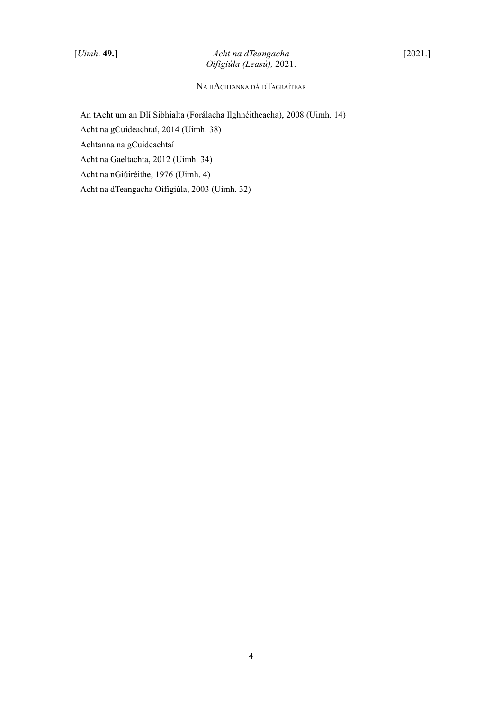# [*Uimh*. **49.**] *Acht na dTeangacha* [2021.] *Oifigiúla (Leasú),* 2021.

# N<sup>A</sup> <sup>H</sup>ACHTANNA DÁ <sup>D</sup>TAGRAÍTEAR

An tAcht um an Dlí Sibhialta (Forálacha Ilghnéitheacha), 2008 (Uimh. 14) Acht na gCuideachtaí, 2014 (Uimh. 38) Achtanna na gCuideachtaí Acht na Gaeltachta, 2012 (Uimh. 34) Acht na nGiúiréithe, 1976 (Uimh. 4) Acht na dTeangacha Oifigiúla, 2003 (Uimh. 32)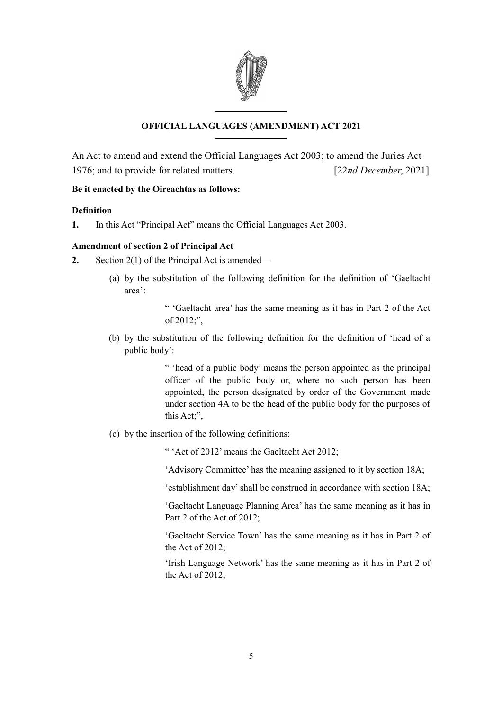

# **OFFICIAL LANGUAGES (AMENDMENT) ACT 2021**

An Act to amend and extend the Official Languages Act 2003; to amend the Juries Act 1976; and to provide for related matters. [22*nd December*, 2021]

# **Be it enacted by the Oireachtas as follows:**

## <span id="page-6-0"></span>**Definition**

**1.** In this Act "Principal Act" means the Official Languages Act 2003.

## <span id="page-6-1"></span>**Amendment of section 2 of Principal Act**

- **2.** Section 2(1) of the Principal Act is amended—
	- (a) by the substitution of the following definition for the definition of 'Gaeltacht area':
		- " 'Gaeltacht area' has the same meaning as it has in Part 2 of the Act of 2012;",
	- (b) by the substitution of the following definition for the definition of 'head of a public body':

" 'head of a public body' means the person appointed as the principal officer of the public body or, where no such person has been appointed, the person designated by order of the Government made under section 4A to be the head of the public body for the purposes of this Act;",

(c) by the insertion of the following definitions:

" 'Act of 2012' means the Gaeltacht Act 2012;

'Advisory Committee' has the meaning assigned to it by section 18A;

'establishment day' shall be construed in accordance with section 18A;

'Gaeltacht Language Planning Area' has the same meaning as it has in Part 2 of the Act of 2012;

'Gaeltacht Service Town' has the same meaning as it has in Part 2 of the Act of 2012;

'Irish Language Network' has the same meaning as it has in Part 2 of the Act of 2012;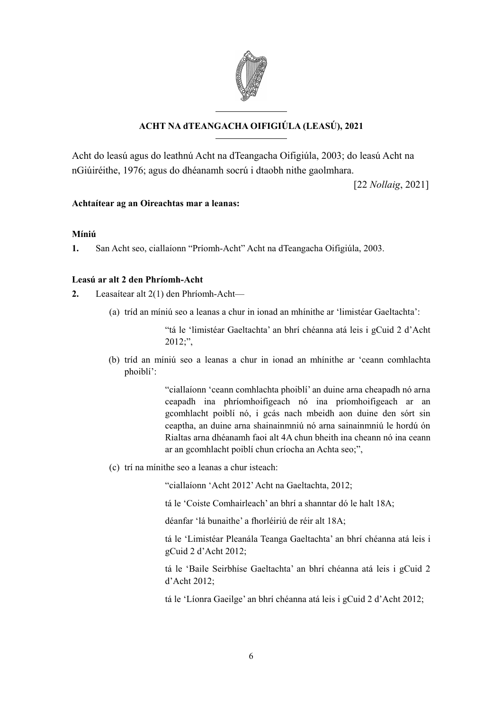

# **ACHT NA dTEANGACHA OIFIGIÚLA (LEASÚ), 2021**

Acht do leasú agus do leathnú Acht na dTeangacha Oifigiúla, 2003; do leasú Acht na nGiúiréithe, 1976; agus do dhéanamh socrú i dtaobh nithe gaolmhara.

[22 *Nollaig*, 2021]

# **Achtaítear ag an Oireachtas mar a leanas:**

## **Míniú**

**1.** San Acht seo, ciallaíonn "Príomh-Acht" Acht na dTeangacha Oifigiúla, 2003.

## **Leasú ar alt 2 den Phríomh-Acht**

**2.** Leasaítear alt 2(1) den Phríomh-Acht—

(a) tríd an míniú seo a leanas a chur in ionad an mhínithe ar 'limistéar Gaeltachta':

"tá le 'limistéar Gaeltachta' an bhrí chéanna atá leis i gCuid 2 d'Acht 2012;",

(b) tríd an míniú seo a leanas a chur in ionad an mhínithe ar 'ceann comhlachta phoiblí':

> "ciallaíonn 'ceann comhlachta phoiblí' an duine arna cheapadh nó arna ceapadh ina phríomhoifigeach nó ina príomhoifigeach ar an gcomhlacht poiblí nó, i gcás nach mbeidh aon duine den sórt sin ceaptha, an duine arna shainainmniú nó arna sainainmniú le hordú ón Rialtas arna dhéanamh faoi alt 4A chun bheith ina cheann nó ina ceann ar an gcomhlacht poiblí chun críocha an Achta seo;",

(c) trí na mínithe seo a leanas a chur isteach:

"ciallaíonn 'Acht 2012' Acht na Gaeltachta, 2012;

tá le 'Coiste Comhairleach' an bhrí a shanntar dó le halt 18A;

déanfar 'lá bunaithe' a fhorléiriú de réir alt 18A;

tá le 'Limistéar Pleanála Teanga Gaeltachta' an bhrí chéanna atá leis i gCuid 2 d'Acht 2012;

tá le 'Baile Seirbhíse Gaeltachta' an bhrí chéanna atá leis i gCuid 2 d'Acht 2012;

tá le 'Líonra Gaeilge' an bhrí chéanna atá leis i gCuid 2 d'Acht 2012;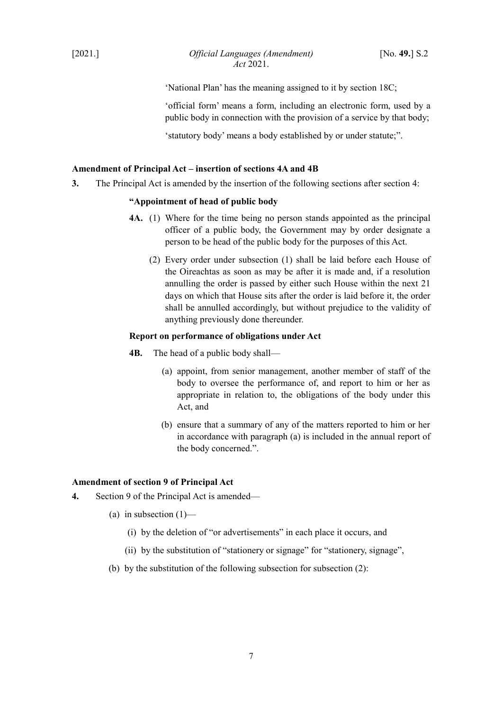'National Plan' has the meaning assigned to it by section 18C;

'official form' means a form, including an electronic form, used by a public body in connection with the provision of a service by that body;

'statutory body' means a body established by or under statute;".

## <span id="page-8-1"></span>**Amendment of Principal Act – insertion of sections 4A and 4B**

**3.** The Principal Act is amended by the insertion of the following sections after section 4:

## **"Appointment of head of public body**

- **4A.** (1) Where for the time being no person stands appointed as the principal officer of a public body, the Government may by order designate a person to be head of the public body for the purposes of this Act.
	- (2) Every order under subsection (1) shall be laid before each House of the Oireachtas as soon as may be after it is made and, if a resolution annulling the order is passed by either such House within the next 21 days on which that House sits after the order is laid before it, the order shall be annulled accordingly, but without prejudice to the validity of anything previously done thereunder.

#### **Report on performance of obligations under Act**

- **4B.** The head of a public body shall—
	- (a) appoint, from senior management, another member of staff of the body to oversee the performance of, and report to him or her as appropriate in relation to, the obligations of the body under this Act, and
	- (b) ensure that a summary of any of the matters reported to him or her in accordance with paragraph (a) is included in the annual report of the body concerned.".

## <span id="page-8-0"></span>**Amendment of section 9 of Principal Act**

- <span id="page-8-2"></span>**4.** Section 9 of the Principal Act is amended—
	- (a) in subsection  $(1)$ 
		- (i) by the deletion of "or advertisements" in each place it occurs, and
		- (ii) by the substitution of "stationery or signage" for "stationery, signage",
	- (b) by the substitution of the following subsection for subsection (2):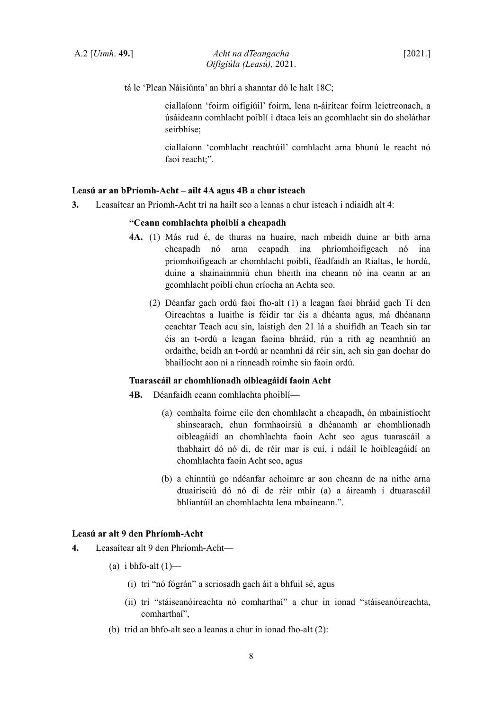tá le 'Plean Náisiúnta' an bhrí a shanntar dó le halt 18C;

ciallaíonn 'foirm oifigiúil' foirm, lena n-áirítear foirm leictreonach, a úsáideann comhlacht poiblí i dtaca leis an gcomhlacht sin do sholáthar seirbhíse;

ciallaíonn 'comhlacht reachtúil' comhlacht arna bhunú le reacht nó faoi reacht;".

## **Leasú ar an bPríomh-Acht – ailt 4A agus 4B a chur isteach**

**3.** Leasaítear an Príomh-Acht trí na hailt seo a leanas a chur isteach i ndiaidh alt 4:

#### **"Ceann comhlachta phoiblí a cheapadh**

- **4A.** (1) Más rud é, de thuras na huaire, nach mbeidh duine ar bith arna cheapadh nó arna ceapadh ina phríomhoifigeach nó ina príomhoifigeach ar chomhlacht poiblí, féadfaidh an Rialtas, le hordú, duine a shainainmniú chun bheith ina cheann nó ina ceann ar an gcomhlacht poiblí chun críocha an Achta seo.
	- (2) Déanfar gach ordú faoi fho-alt (1) a leagan faoi bhráid gach Tí den Oireachtas a luaithe is féidir tar éis a dhéanta agus, má dhéanann ceachtar Teach acu sin, laistigh den 21 lá a shuífidh an Teach sin tar éis an t-ordú a leagan faoina bhráid, rún a rith ag neamhniú an ordaithe, beidh an t-ordú ar neamhní dá réir sin, ach sin gan dochar do bhailíocht aon ní a rinneadh roimhe sin faoin ordú.

#### **Tuarascáil ar chomhlíonadh oibleagáidí faoin Acht**

- **4B.** Déanfaidh ceann comhlachta phoiblí—
	- (a) comhalta foirne eile den chomhlacht a cheapadh, ón mbainistíocht shinsearach, chun formhaoirsiú a dhéanamh ar chomhlíonadh oibleagáidí an chomhlachta faoin Acht seo agus tuarascáil a thabhairt dó nó di, de réir mar is cuí, i ndáil le hoibleagáidí an chomhlachta faoin Acht seo, agus
	- (b) a chinntiú go ndéanfar achoimre ar aon cheann de na nithe arna dtuairisciú dó nó di de réir mhír (a) a áireamh i dtuarascáil bhliantúil an chomhlachta lena mbaineann.".

## **Leasú ar alt 9 den Phríomh-Acht**

- **4.** Leasaítear alt 9 den Phríomh-Acht—
	- (a) i bhfo-alt  $(1)$ 
		- (i) trí "nó fógrán" a scriosadh gach áit a bhfuil sé, agus
		- (ii) trí "stáiseanóireachta nó comharthaí" a chur in ionad "stáiseanóireachta, comharthaí",
	- (b) tríd an bhfo-alt seo a leanas a chur in ionad fho-alt (2):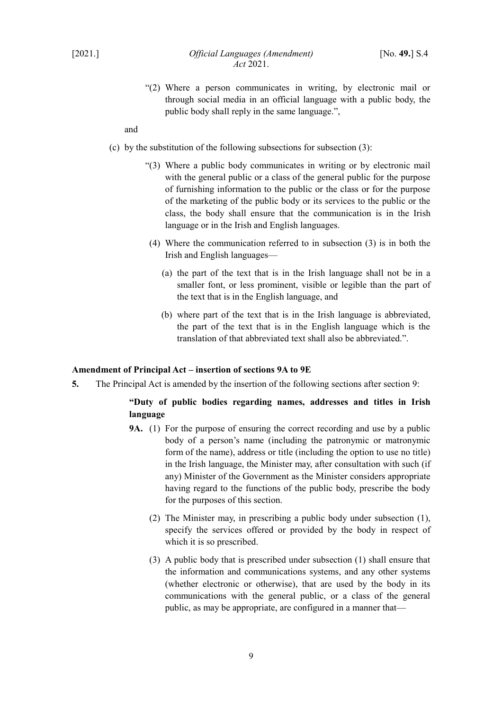"(2) Where a person communicates in writing, by electronic mail or through social media in an official language with a public body, the public body shall reply in the same language.",

and

- (c) by the substitution of the following subsections for subsection  $(3)$ :
	- "(3) Where a public body communicates in writing or by electronic mail with the general public or a class of the general public for the purpose of furnishing information to the public or the class or for the purpose of the marketing of the public body or its services to the public or the class, the body shall ensure that the communication is in the Irish language or in the Irish and English languages.
	- (4) Where the communication referred to in subsection (3) is in both the Irish and English languages—
		- (a) the part of the text that is in the Irish language shall not be in a smaller font, or less prominent, visible or legible than the part of the text that is in the English language, and
		- (b) where part of the text that is in the Irish language is abbreviated, the part of the text that is in the English language which is the translation of that abbreviated text shall also be abbreviated.".

### <span id="page-10-0"></span>**Amendment of Principal Act – insertion of sections 9A to 9E**

**5.** The Principal Act is amended by the insertion of the following sections after section 9:

# **"Duty of public bodies regarding names, addresses and titles in Irish language**

- **9A.** (1) For the purpose of ensuring the correct recording and use by a public body of a person's name (including the patronymic or matronymic form of the name), address or title (including the option to use no title) in the Irish language, the Minister may, after consultation with such (if any) Minister of the Government as the Minister considers appropriate having regard to the functions of the public body, prescribe the body for the purposes of this section.
	- (2) The Minister may, in prescribing a public body under subsection (1), specify the services offered or provided by the body in respect of which it is so prescribed.
	- (3) A public body that is prescribed under subsection (1) shall ensure that the information and communications systems, and any other systems (whether electronic or otherwise), that are used by the body in its communications with the general public, or a class of the general public, as may be appropriate, are configured in a manner that—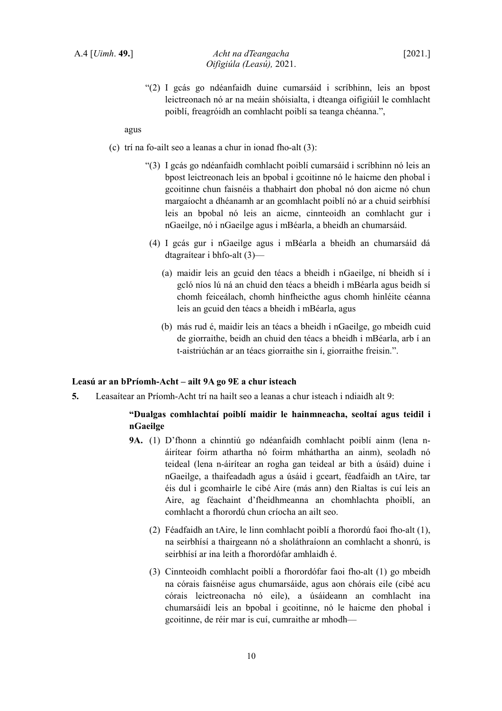"(2) I gcás go ndéanfaidh duine cumarsáid i scríbhinn, leis an bpost leictreonach nó ar na meáin shóisialta, i dteanga oifigiúil le comhlacht poiblí, freagróidh an comhlacht poiblí sa teanga chéanna.",

agus

- (c) trí na fo-ailt seo a leanas a chur in ionad fho-alt (3):
	- "(3) I gcás go ndéanfaidh comhlacht poiblí cumarsáid i scríbhinn nó leis an bpost leictreonach leis an bpobal i gcoitinne nó le haicme den phobal i gcoitinne chun faisnéis a thabhairt don phobal nó don aicme nó chun margaíocht a dhéanamh ar an gcomhlacht poiblí nó ar a chuid seirbhísí leis an bpobal nó leis an aicme, cinnteoidh an comhlacht gur i nGaeilge, nó i nGaeilge agus i mBéarla, a bheidh an chumarsáid.
	- (4) I gcás gur i nGaeilge agus i mBéarla a bheidh an chumarsáid dá dtagraítear i bhfo-alt (3)—
		- (a) maidir leis an gcuid den téacs a bheidh i nGaeilge, ní bheidh sí i gcló níos lú ná an chuid den téacs a bheidh i mBéarla agus beidh sí chomh feiceálach, chomh hinfheicthe agus chomh hinléite céanna leis an gcuid den téacs a bheidh i mBéarla, agus
		- (b) más rud é, maidir leis an téacs a bheidh i nGaeilge, go mbeidh cuid de giorraithe, beidh an chuid den téacs a bheidh i mBéarla, arb í an t-aistriúchán ar an téacs giorraithe sin í, giorraithe freisin.".

## **Leasú ar an bPríomh-Acht – ailt 9A go 9E a chur isteach**

**5.** Leasaítear an Príomh-Acht trí na hailt seo a leanas a chur isteach i ndiaidh alt 9:

# **"Dualgas comhlachtaí poiblí maidir le hainmneacha, seoltaí agus teidil i nGaeilge**

- **9A.** (1) D'fhonn a chinntiú go ndéanfaidh comhlacht poiblí ainm (lena náirítear foirm athartha nó foirm mháthartha an ainm), seoladh nó teideal (lena n-áirítear an rogha gan teideal ar bith a úsáid) duine i nGaeilge, a thaifeadadh agus a úsáid i gceart, féadfaidh an tAire, tar éis dul i gcomhairle le cibé Aire (más ann) den Rialtas is cuí leis an Aire, ag féachaint d'fheidhmeanna an chomhlachta phoiblí, an comhlacht a fhorordú chun críocha an ailt seo.
	- (2) Féadfaidh an tAire, le linn comhlacht poiblí a fhorordú faoi fho-alt (1), na seirbhísí a thairgeann nó a sholáthraíonn an comhlacht a shonrú, is seirbhísí ar ina leith a fhorordófar amhlaidh é.
	- (3) Cinnteoidh comhlacht poiblí a fhorordófar faoi fho-alt (1) go mbeidh na córais faisnéise agus chumarsáide, agus aon chórais eile (cibé acu córais leictreonacha nó eile), a úsáideann an comhlacht ina chumarsáidí leis an bpobal i gcoitinne, nó le haicme den phobal i gcoitinne, de réir mar is cuí, cumraithe ar mhodh—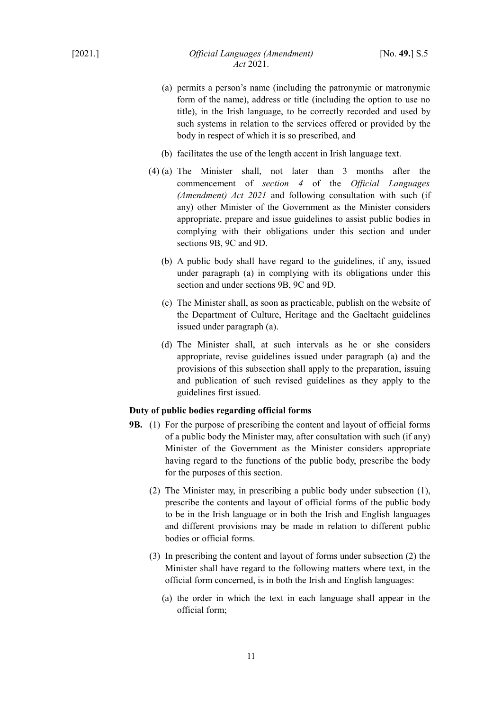- (a) permits a person's name (including the patronymic or matronymic form of the name), address or title (including the option to use no title), in the Irish language, to be correctly recorded and used by such systems in relation to the services offered or provided by the body in respect of which it is so prescribed, and
- (b) facilitates the use of the length accent in Irish language text.
- (4) (a) The Minister shall, not later than 3 months after the commencement of *section [4](#page-8-2)* of the *Official Languages (Amendment) Act 2021* and following consultation with such (if any) other Minister of the Government as the Minister considers appropriate, prepare and issue guidelines to assist public bodies in complying with their obligations under this section and under sections 9B, 9C and 9D.
	- (b) A public body shall have regard to the guidelines, if any, issued under paragraph (a) in complying with its obligations under this section and under sections 9B, 9C and 9D.
	- (c) The Minister shall, as soon as practicable, publish on the website of the Department of Culture, Heritage and the Gaeltacht guidelines issued under paragraph (a).
	- (d) The Minister shall, at such intervals as he or she considers appropriate, revise guidelines issued under paragraph (a) and the provisions of this subsection shall apply to the preparation, issuing and publication of such revised guidelines as they apply to the guidelines first issued.

# **Duty of public bodies regarding official forms**

- **9B.** (1) For the purpose of prescribing the content and layout of official forms of a public body the Minister may, after consultation with such (if any) Minister of the Government as the Minister considers appropriate having regard to the functions of the public body, prescribe the body for the purposes of this section.
	- (2) The Minister may, in prescribing a public body under subsection (1), prescribe the contents and layout of official forms of the public body to be in the Irish language or in both the Irish and English languages and different provisions may be made in relation to different public bodies or official forms.
	- (3) In prescribing the content and layout of forms under subsection (2) the Minister shall have regard to the following matters where text, in the official form concerned, is in both the Irish and English languages:
		- (a) the order in which the text in each language shall appear in the official form;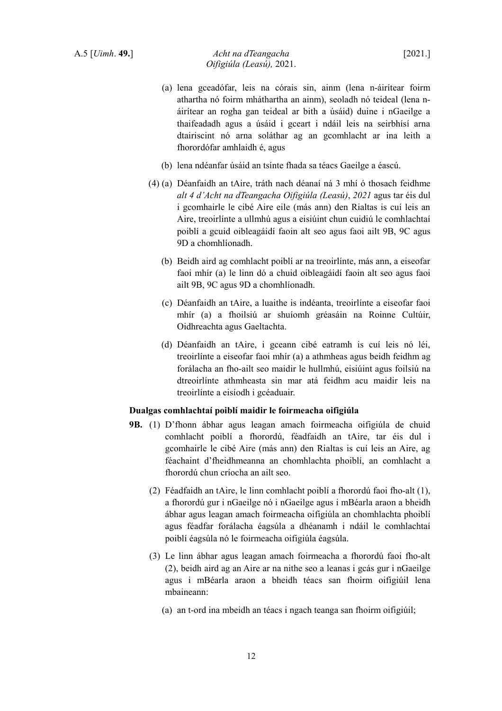- (a) lena gceadófar, leis na córais sin, ainm (lena n-áirítear foirm athartha nó foirm mháthartha an ainm), seoladh nó teideal (lena náirítear an rogha gan teideal ar bith a úsáid) duine i nGaeilge a thaifeadadh agus a úsáid i gceart i ndáil leis na seirbhísí arna dtairiscint nó arna soláthar ag an gcomhlacht ar ina leith a fhorordófar amhlaidh é, agus
- (b) lena ndéanfar úsáid an tsínte fhada sa téacs Gaeilge a éascú.
- (4) (a) Déanfaidh an tAire, tráth nach déanaí ná 3 mhí ó thosach feidhme *alt 4 d'Acht na dTeangacha Oifigiúla (Leasú)*, *2021* agus tar éis dul i gcomhairle le cibé Aire eile (más ann) den Rialtas is cuí leis an Aire, treoirlínte a ullmhú agus a eisiúint chun cuidiú le comhlachtaí poiblí a gcuid oibleagáidí faoin alt seo agus faoi ailt 9B, 9C agus 9D a chomhlíonadh.
	- (b) Beidh aird ag comhlacht poiblí ar na treoirlínte, más ann, a eiseofar faoi mhír (a) le linn dó a chuid oibleagáidí faoin alt seo agus faoi ailt 9B, 9C agus 9D a chomhlíonadh.
	- (c) Déanfaidh an tAire, a luaithe is indéanta, treoirlínte a eiseofar faoi mhír (a) a fhoilsiú ar shuíomh gréasáin na Roinne Cultúir, Oidhreachta agus Gaeltachta.
	- (d) Déanfaidh an tAire, i gceann cibé eatramh is cuí leis nó léi, treoirlínte a eiseofar faoi mhír (a) a athmheas agus beidh feidhm ag forálacha an fho-ailt seo maidir le hullmhú, eisiúint agus foilsiú na dtreoirlínte athmheasta sin mar atá feidhm acu maidir leis na treoirlínte a eisíodh i gcéaduair.

## **Dualgas comhlachtaí poiblí maidir le foirmeacha oifigiúla**

- **9B.** (1) D'fhonn ábhar agus leagan amach foirmeacha oifigiúla de chuid comhlacht poiblí a fhorordú, féadfaidh an tAire, tar éis dul i gcomhairle le cibé Aire (más ann) den Rialtas is cuí leis an Aire, ag féachaint d'fheidhmeanna an chomhlachta phoiblí, an comhlacht a fhorordú chun críocha an ailt seo.
	- (2) Féadfaidh an tAire, le linn comhlacht poiblí a fhorordú faoi fho-alt (1), a fhorordú gur i nGaeilge nó i nGaeilge agus i mBéarla araon a bheidh ábhar agus leagan amach foirmeacha oifigiúla an chomhlachta phoiblí agus féadfar forálacha éagsúla a dhéanamh i ndáil le comhlachtaí poiblí éagsúla nó le foirmeacha oifigiúla éagsúla.
	- (3) Le linn ábhar agus leagan amach foirmeacha a fhorordú faoi fho-alt (2), beidh aird ag an Aire ar na nithe seo a leanas i gcás gur i nGaeilge agus i mBéarla araon a bheidh téacs san fhoirm oifigiúil lena mbaineann:
		- (a) an t-ord ina mbeidh an téacs i ngach teanga san fhoirm oifigiúil;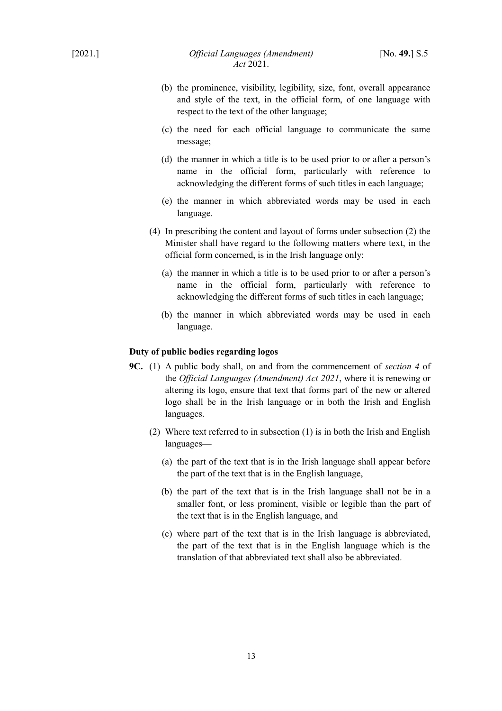- (b) the prominence, visibility, legibility, size, font, overall appearance and style of the text, in the official form, of one language with respect to the text of the other language;
- (c) the need for each official language to communicate the same message;
- (d) the manner in which a title is to be used prior to or after a person's name in the official form, particularly with reference to acknowledging the different forms of such titles in each language;
- (e) the manner in which abbreviated words may be used in each language.
- (4) In prescribing the content and layout of forms under subsection (2) the Minister shall have regard to the following matters where text, in the official form concerned, is in the Irish language only:
	- (a) the manner in which a title is to be used prior to or after a person's name in the official form, particularly with reference to acknowledging the different forms of such titles in each language;
	- (b) the manner in which abbreviated words may be used in each language.

## **Duty of public bodies regarding logos**

- **9C.** (1) A public body shall, on and from the commencement of *section [4](#page-8-2)* of the *Official Languages (Amendment) Act 2021*, where it is renewing or altering its logo, ensure that text that forms part of the new or altered logo shall be in the Irish language or in both the Irish and English languages.
	- (2) Where text referred to in subsection (1) is in both the Irish and English languages—
		- (a) the part of the text that is in the Irish language shall appear before the part of the text that is in the English language,
		- (b) the part of the text that is in the Irish language shall not be in a smaller font, or less prominent, visible or legible than the part of the text that is in the English language, and
		- (c) where part of the text that is in the Irish language is abbreviated, the part of the text that is in the English language which is the translation of that abbreviated text shall also be abbreviated.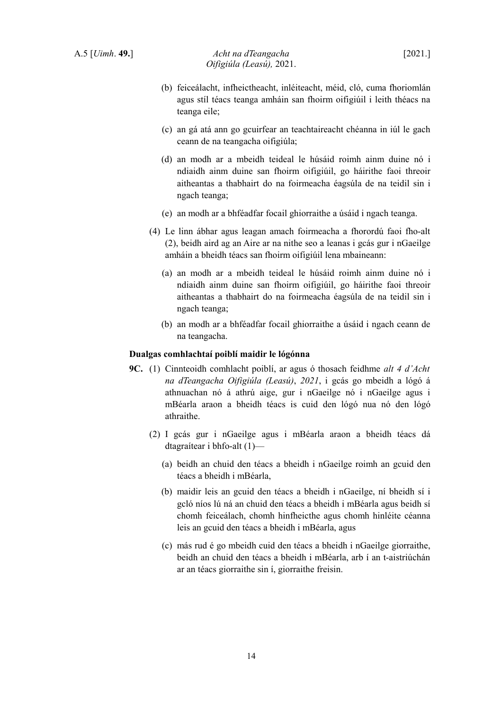- (b) feiceálacht, infheictheacht, inléiteacht, méid, cló, cuma fhoriomlán agus stíl téacs teanga amháin san fhoirm oifigiúil i leith théacs na teanga eile;
- (c) an gá atá ann go gcuirfear an teachtaireacht chéanna in iúl le gach ceann de na teangacha oifigiúla;
- (d) an modh ar a mbeidh teideal le húsáid roimh ainm duine nó i ndiaidh ainm duine san fhoirm oifigiúil, go háirithe faoi threoir aitheantas a thabhairt do na foirmeacha éagsúla de na teidil sin i ngach teanga;
- (e) an modh ar a bhféadfar focail ghiorraithe a úsáid i ngach teanga.
- (4) Le linn ábhar agus leagan amach foirmeacha a fhorordú faoi fho-alt (2), beidh aird ag an Aire ar na nithe seo a leanas i gcás gur i nGaeilge amháin a bheidh téacs san fhoirm oifigiúil lena mbaineann:
	- (a) an modh ar a mbeidh teideal le húsáid roimh ainm duine nó i ndiaidh ainm duine san fhoirm oifigiúil, go háirithe faoi threoir aitheantas a thabhairt do na foirmeacha éagsúla de na teidil sin i ngach teanga;
	- (b) an modh ar a bhféadfar focail ghiorraithe a úsáid i ngach ceann de na teangacha.

#### **Dualgas comhlachtaí poiblí maidir le lógónna**

- **9C.** (1) Cinnteoidh comhlacht poiblí, ar agus ó thosach feidhme *alt 4 d'Acht na dTeangacha Oifigiúla (Leasú)*, *2021*, i gcás go mbeidh a lógó á athnuachan nó á athrú aige, gur i nGaeilge nó i nGaeilge agus i mBéarla araon a bheidh téacs is cuid den lógó nua nó den lógó athraithe.
	- (2) I gcás gur i nGaeilge agus i mBéarla araon a bheidh téacs dá dtagraítear i bhfo-alt (1)—
		- (a) beidh an chuid den téacs a bheidh i nGaeilge roimh an gcuid den téacs a bheidh i mBéarla,
		- (b) maidir leis an gcuid den téacs a bheidh i nGaeilge, ní bheidh sí i gcló níos lú ná an chuid den téacs a bheidh i mBéarla agus beidh sí chomh feiceálach, chomh hinfheicthe agus chomh hinléite céanna leis an gcuid den téacs a bheidh i mBéarla, agus
		- (c) más rud é go mbeidh cuid den téacs a bheidh i nGaeilge giorraithe, beidh an chuid den téacs a bheidh i mBéarla, arb í an t-aistriúchán ar an téacs giorraithe sin í, giorraithe freisin.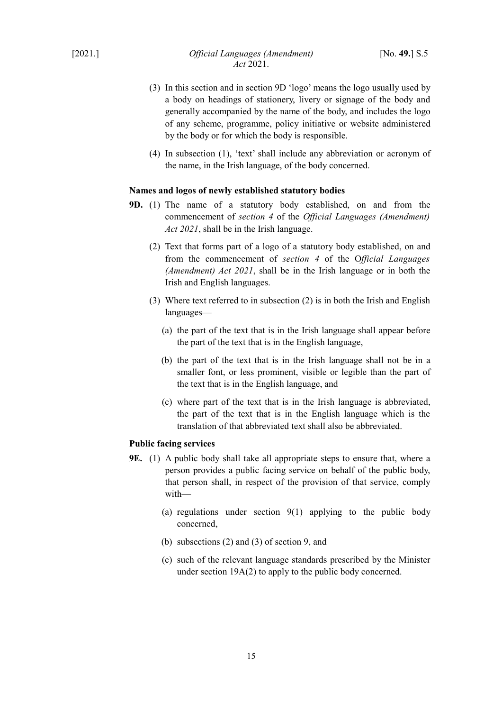- (3) In this section and in section 9D 'logo' means the logo usually used by a body on headings of stationery, livery or signage of the body and generally accompanied by the name of the body, and includes the logo of any scheme, programme, policy initiative or website administered by the body or for which the body is responsible.
- (4) In subsection (1), 'text' shall include any abbreviation or acronym of the name, in the Irish language, of the body concerned.

#### **Names and logos of newly established statutory bodies**

- **9D.** (1) The name of a statutory body established, on and from the commencement of *section [4](#page-8-2)* of the *Official Languages (Amendment) Act 2021*, shall be in the Irish language.
	- (2) Text that forms part of a logo of a statutory body established, on and from the commencement of *section [4](#page-8-2)* of the O*fficial Languages (Amendment) Act 2021*, shall be in the Irish language or in both the Irish and English languages.
	- (3) Where text referred to in subsection (2) is in both the Irish and English languages—
		- (a) the part of the text that is in the Irish language shall appear before the part of the text that is in the English language,
		- (b) the part of the text that is in the Irish language shall not be in a smaller font, or less prominent, visible or legible than the part of the text that is in the English language, and
		- (c) where part of the text that is in the Irish language is abbreviated, the part of the text that is in the English language which is the translation of that abbreviated text shall also be abbreviated.

## **Public facing services**

- **9E.** (1) A public body shall take all appropriate steps to ensure that, where a person provides a public facing service on behalf of the public body, that person shall, in respect of the provision of that service, comply with—
	- (a) regulations under section  $9(1)$  applying to the public body concerned,
	- (b) subsections (2) and (3) of section 9, and
	- (c) such of the relevant language standards prescribed by the Minister under section 19A(2) to apply to the public body concerned.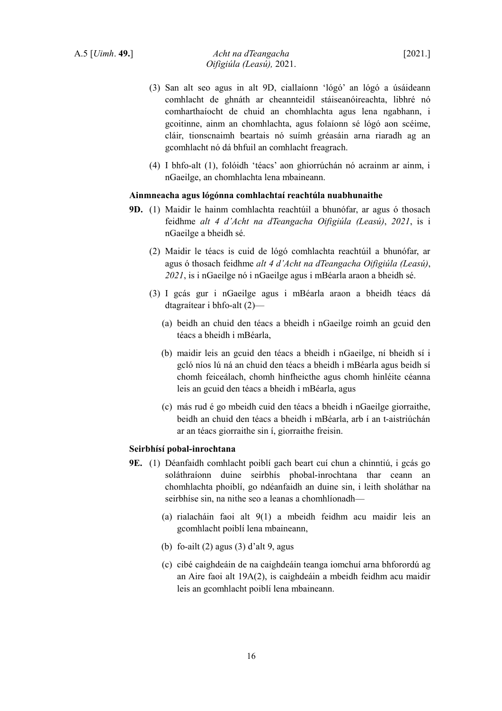- (3) San alt seo agus in alt 9D, ciallaíonn 'lógó' an lógó a úsáideann comhlacht de ghnáth ar cheannteidil stáiseanóireachta, libhré nó comharthaíocht de chuid an chomhlachta agus lena ngabhann, i gcoitinne, ainm an chomhlachta, agus folaíonn sé lógó aon scéime, cláir, tionscnaimh beartais nó suímh gréasáin arna riaradh ag an gcomhlacht nó dá bhfuil an comhlacht freagrach.
- (4) I bhfo-alt (1), folóidh 'téacs' aon ghiorrúchán nó acrainm ar ainm, i nGaeilge, an chomhlachta lena mbaineann.

#### **Ainmneacha agus lógónna comhlachtaí reachtúla nuabhunaithe**

- **9D.** (1) Maidir le hainm comhlachta reachtúil a bhunófar, ar agus ó thosach feidhme *alt 4 d'Acht na dTeangacha Oifigiúla (Leasú)*, *2021*, is i nGaeilge a bheidh sé.
	- (2) Maidir le téacs is cuid de lógó comhlachta reachtúil a bhunófar, ar agus ó thosach feidhme *alt 4 d'Acht na dTeangacha Oifigiúla (Leasú)*, *2021*, is i nGaeilge nó i nGaeilge agus i mBéarla araon a bheidh sé.
	- (3) I gcás gur i nGaeilge agus i mBéarla araon a bheidh téacs dá dtagraítear i bhfo-alt (2)—
		- (a) beidh an chuid den téacs a bheidh i nGaeilge roimh an gcuid den téacs a bheidh i mBéarla,
		- (b) maidir leis an gcuid den téacs a bheidh i nGaeilge, ní bheidh sí i gcló níos lú ná an chuid den téacs a bheidh i mBéarla agus beidh sí chomh feiceálach, chomh hinfheicthe agus chomh hinléite céanna leis an gcuid den téacs a bheidh i mBéarla, agus
		- (c) más rud é go mbeidh cuid den téacs a bheidh i nGaeilge giorraithe, beidh an chuid den téacs a bheidh i mBéarla, arb í an t-aistriúchán ar an téacs giorraithe sin í, giorraithe freisin.

#### **Seirbhísí pobal-inrochtana**

- **9E.** (1) Déanfaidh comhlacht poiblí gach beart cuí chun a chinntiú, i gcás go soláthraíonn duine seirbhís phobal-inrochtana thar ceann an chomhlachta phoiblí, go ndéanfaidh an duine sin, i leith sholáthar na seirbhíse sin, na nithe seo a leanas a chomhlíonadh—
	- (a) rialacháin faoi alt 9(1) a mbeidh feidhm acu maidir leis an gcomhlacht poiblí lena mbaineann,
	- (b) fo-ailt (2) agus (3) d'alt 9, agus
	- (c) cibé caighdeáin de na caighdeáin teanga iomchuí arna bhforordú ag an Aire faoi alt 19A(2), is caighdeáin a mbeidh feidhm acu maidir leis an gcomhlacht poiblí lena mbaineann.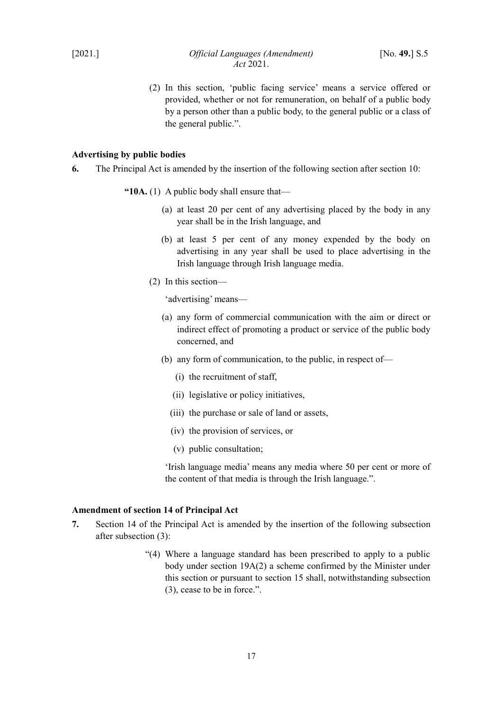(2) In this section, 'public facing service' means a service offered or provided, whether or not for remuneration, on behalf of a public body by a person other than a public body, to the general public or a class of the general public.".

### <span id="page-18-1"></span>**Advertising by public bodies**

- **6.** The Principal Act is amended by the insertion of the following section after section 10:
	- **"10A.** (1) A public body shall ensure that—
		- (a) at least 20 per cent of any advertising placed by the body in any year shall be in the Irish language, and
		- (b) at least 5 per cent of any money expended by the body on advertising in any year shall be used to place advertising in the Irish language through Irish language media.
		- (2) In this section—

'advertising' means—

- (a) any form of commercial communication with the aim or direct or indirect effect of promoting a product or service of the public body concerned, and
- (b) any form of communication, to the public, in respect of—
	- (i) the recruitment of staff,
	- (ii) legislative or policy initiatives,
	- (iii) the purchase or sale of land or assets,
	- (iv) the provision of services, or
	- (v) public consultation;

'Irish language media' means any media where 50 per cent or more of the content of that media is through the Irish language.".

### <span id="page-18-0"></span>**Amendment of section 14 of Principal Act**

- **7.** Section 14 of the Principal Act is amended by the insertion of the following subsection after subsection (3):
	- "(4) Where a language standard has been prescribed to apply to a public body under section 19A(2) a scheme confirmed by the Minister under this section or pursuant to section 15 shall, notwithstanding subsection (3), cease to be in force.".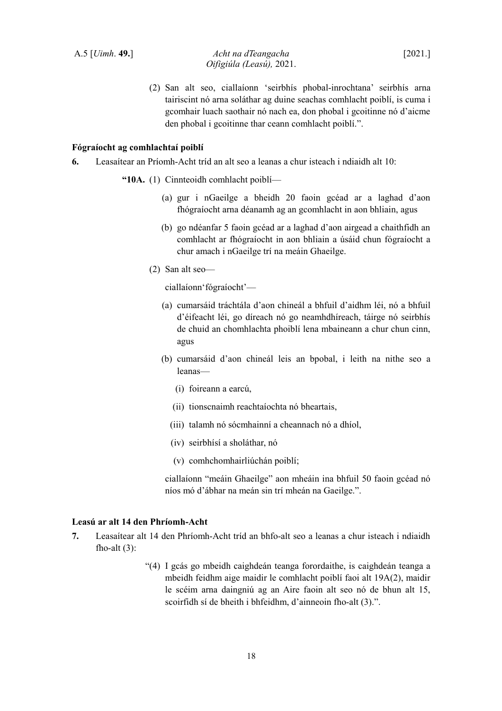(2) San alt seo, ciallaíonn 'seirbhís phobal-inrochtana' seirbhís arna tairiscint nó arna soláthar ag duine seachas comhlacht poiblí, is cuma i gcomhair luach saothair nó nach ea, don phobal i gcoitinne nó d'aicme den phobal i gcoitinne thar ceann comhlacht poiblí.".

## **Fógraíocht ag comhlachtaí poiblí**

- **6.** Leasaítear an Príomh-Acht tríd an alt seo a leanas a chur isteach i ndiaidh alt 10:
	- **"10A.** (1) Cinnteoidh comhlacht poiblí—
		- (a) gur i nGaeilge a bheidh 20 faoin gcéad ar a laghad d'aon fhógraíocht arna déanamh ag an gcomhlacht in aon bhliain, agus
		- (b) go ndéanfar 5 faoin gcéad ar a laghad d'aon airgead a chaithfidh an comhlacht ar fhógraíocht in aon bhliain a úsáid chun fógraíocht a chur amach i nGaeilge trí na meáin Ghaeilge.
		- (2) San alt seo—

ciallaíonn'fógraíocht'—

- (a) cumarsáid tráchtála d'aon chineál a bhfuil d'aidhm léi, nó a bhfuil d'éifeacht léi, go díreach nó go neamhdhíreach, táirge nó seirbhís de chuid an chomhlachta phoiblí lena mbaineann a chur chun cinn, agus
- (b) cumarsáid d'aon chineál leis an bpobal, i leith na nithe seo a leanas—
	- (i) foireann a earcú,
	- (ii) tionscnaimh reachtaíochta nó bheartais,
	- (iii) talamh nó sócmhainní a cheannach nó a dhíol,
	- (iv) seirbhísí a sholáthar, nó
	- (v) comhchomhairliúchán poiblí;

ciallaíonn "meáin Ghaeilge" aon mheáin ina bhfuil 50 faoin gcéad nó níos mó d'ábhar na meán sin trí mheán na Gaeilge.".

## **Leasú ar alt 14 den Phríomh-Acht**

- **7.** Leasaítear alt 14 den Phríomh-Acht tríd an bhfo-alt seo a leanas a chur isteach i ndiaidh fho-alt $(3)$ :
	- "(4) I gcás go mbeidh caighdeán teanga forordaithe, is caighdeán teanga a mbeidh feidhm aige maidir le comhlacht poiblí faoi alt 19A(2), maidir le scéim arna daingniú ag an Aire faoin alt seo nó de bhun alt 15, scoirfidh sí de bheith i bhfeidhm, d'ainneoin fho-alt (3).".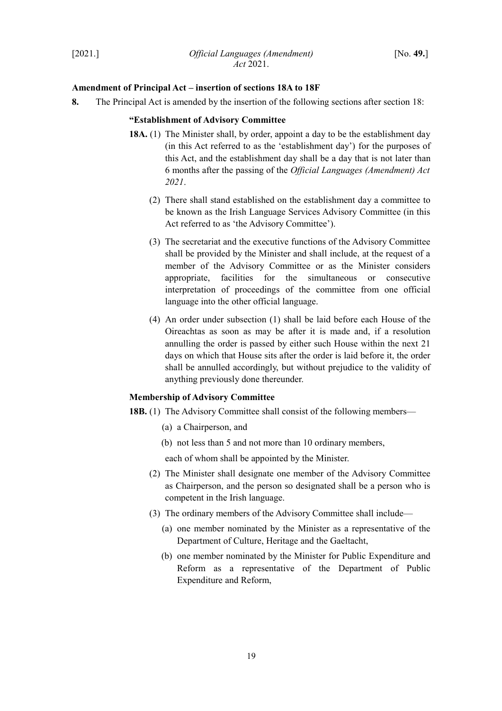### <span id="page-20-0"></span>**Amendment of Principal Act – insertion of sections 18A to 18F**

**8.** The Principal Act is amended by the insertion of the following sections after section 18:

## **"Establishment of Advisory Committee**

- **18A.** (1) The Minister shall, by order, appoint a day to be the establishment day (in this Act referred to as the 'establishment day') for the purposes of this Act, and the establishment day shall be a day that is not later than 6 months after the passing of the *Official Languages (Amendment) Act 2021*.
	- (2) There shall stand established on the establishment day a committee to be known as the Irish Language Services Advisory Committee (in this Act referred to as 'the Advisory Committee').
	- (3) The secretariat and the executive functions of the Advisory Committee shall be provided by the Minister and shall include, at the request of a member of the Advisory Committee or as the Minister considers appropriate, facilities for the simultaneous or consecutive interpretation of proceedings of the committee from one official language into the other official language.
	- (4) An order under subsection (1) shall be laid before each House of the Oireachtas as soon as may be after it is made and, if a resolution annulling the order is passed by either such House within the next 21 days on which that House sits after the order is laid before it, the order shall be annulled accordingly, but without prejudice to the validity of anything previously done thereunder.

#### **Membership of Advisory Committee**

**18B.** (1) The Advisory Committee shall consist of the following members—

- (a) a Chairperson, and
- (b) not less than 5 and not more than 10 ordinary members,

each of whom shall be appointed by the Minister.

- (2) The Minister shall designate one member of the Advisory Committee as Chairperson, and the person so designated shall be a person who is competent in the Irish language.
- (3) The ordinary members of the Advisory Committee shall include—
	- (a) one member nominated by the Minister as a representative of the Department of Culture, Heritage and the Gaeltacht,
	- (b) one member nominated by the Minister for Public Expenditure and Reform as a representative of the Department of Public Expenditure and Reform,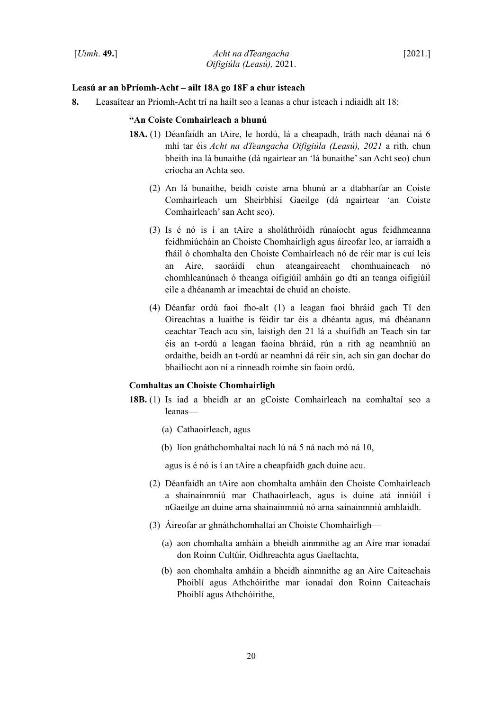### **Leasú ar an bPríomh-Acht – ailt 18A go 18F a chur isteach**

**8.** Leasaítear an Príomh-Acht trí na hailt seo a leanas a chur isteach i ndiaidh alt 18:

#### **"An Coiste Comhairleach a bhunú**

- **18A.** (1) Déanfaidh an tAire, le hordú, lá a cheapadh, tráth nach déanaí ná 6 mhí tar éis *Acht na dTeangacha Oifigiúla (Leasú), 2021* a rith, chun bheith ina lá bunaithe (dá ngairtear an 'lá bunaithe' san Acht seo) chun críocha an Achta seo.
	- (2) An lá bunaithe, beidh coiste arna bhunú ar a dtabharfar an Coiste Comhairleach um Sheirbhísí Gaeilge (dá ngairtear 'an Coiste Comhairleach' san Acht seo).
	- (3) Is é nó is í an tAire a sholáthróidh rúnaíocht agus feidhmeanna feidhmiúcháin an Choiste Chomhairligh agus áireofar leo, ar iarraidh a fháil ó chomhalta den Choiste Comhairleach nó de réir mar is cuí leis an Aire, saoráidí chun ateangaireacht chomhuaineach nó chomhleanúnach ó theanga oifigiúil amháin go dtí an teanga oifigiúil eile a dhéanamh ar imeachtaí de chuid an choiste.
	- (4) Déanfar ordú faoi fho-alt (1) a leagan faoi bhráid gach Tí den Oireachtas a luaithe is féidir tar éis a dhéanta agus, má dhéanann ceachtar Teach acu sin, laistigh den 21 lá a shuífidh an Teach sin tar éis an t-ordú a leagan faoina bhráid, rún a rith ag neamhniú an ordaithe, beidh an t-ordú ar neamhní dá réir sin, ach sin gan dochar do bhailíocht aon ní a rinneadh roimhe sin faoin ordú.

## **Comhaltas an Choiste Chomhairligh**

- **18B.** (1) Is iad a bheidh ar an gCoiste Comhairleach na comhaltaí seo a leanas—
	- (a) Cathaoirleach, agus
	- (b) líon gnáthchomhaltaí nach lú ná 5 ná nach mó ná 10,

agus is é nó is í an tAire a cheapfaidh gach duine acu.

- (2) Déanfaidh an tAire aon chomhalta amháin den Choiste Comhairleach a shainainmniú mar Chathaoirleach, agus is duine atá inniúil i nGaeilge an duine arna shainainmniú nó arna sainainmniú amhlaidh.
- (3) Áireofar ar ghnáthchomhaltaí an Choiste Chomhairligh—
	- (a) aon chomhalta amháin a bheidh ainmnithe ag an Aire mar ionadaí don Roinn Cultúir, Oidhreachta agus Gaeltachta,
	- (b) aon chomhalta amháin a bheidh ainmnithe ag an Aire Caiteachais Phoiblí agus Athchóirithe mar ionadaí don Roinn Caiteachais Phoiblí agus Athchóirithe,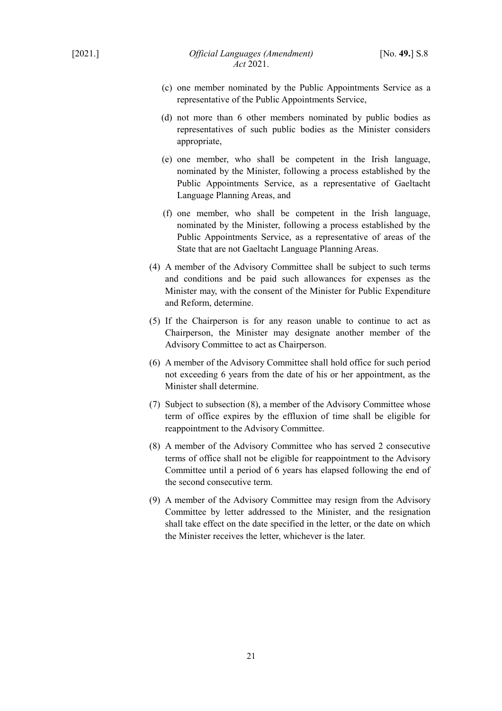- (c) one member nominated by the Public Appointments Service as a representative of the Public Appointments Service,
- (d) not more than 6 other members nominated by public bodies as representatives of such public bodies as the Minister considers appropriate,
- (e) one member, who shall be competent in the Irish language, nominated by the Minister, following a process established by the Public Appointments Service, as a representative of Gaeltacht Language Planning Areas, and
- (f) one member, who shall be competent in the Irish language, nominated by the Minister, following a process established by the Public Appointments Service, as a representative of areas of the State that are not Gaeltacht Language Planning Areas.
- (4) A member of the Advisory Committee shall be subject to such terms and conditions and be paid such allowances for expenses as the Minister may, with the consent of the Minister for Public Expenditure and Reform, determine.
- (5) If the Chairperson is for any reason unable to continue to act as Chairperson, the Minister may designate another member of the Advisory Committee to act as Chairperson.
- (6) A member of the Advisory Committee shall hold office for such period not exceeding 6 years from the date of his or her appointment, as the Minister shall determine.
- (7) Subject to subsection (8), a member of the Advisory Committee whose term of office expires by the effluxion of time shall be eligible for reappointment to the Advisory Committee.
- (8) A member of the Advisory Committee who has served 2 consecutive terms of office shall not be eligible for reappointment to the Advisory Committee until a period of 6 years has elapsed following the end of the second consecutive term.
- (9) A member of the Advisory Committee may resign from the Advisory Committee by letter addressed to the Minister, and the resignation shall take effect on the date specified in the letter, or the date on which the Minister receives the letter, whichever is the later.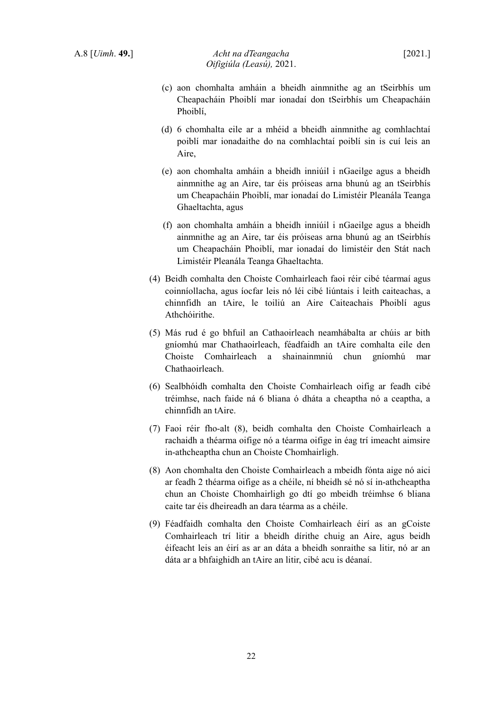- (c) aon chomhalta amháin a bheidh ainmnithe ag an tSeirbhís um Cheapacháin Phoiblí mar ionadaí don tSeirbhís um Cheapacháin Phoiblí,
- (d) 6 chomhalta eile ar a mhéid a bheidh ainmnithe ag comhlachtaí poiblí mar ionadaithe do na comhlachtaí poiblí sin is cuí leis an Aire,
- (e) aon chomhalta amháin a bheidh inniúil i nGaeilge agus a bheidh ainmnithe ag an Aire, tar éis próiseas arna bhunú ag an tSeirbhís um Cheapacháin Phoiblí, mar ionadaí do Limistéir Pleanála Teanga Ghaeltachta, agus
- (f) aon chomhalta amháin a bheidh inniúil i nGaeilge agus a bheidh ainmnithe ag an Aire, tar éis próiseas arna bhunú ag an tSeirbhís um Cheapacháin Phoiblí, mar ionadaí do limistéir den Stát nach Limistéir Pleanála Teanga Ghaeltachta.
- (4) Beidh comhalta den Choiste Comhairleach faoi réir cibé téarmaí agus coinníollacha, agus íocfar leis nó léi cibé liúntais i leith caiteachas, a chinnfidh an tAire, le toiliú an Aire Caiteachais Phoiblí agus Athchóirithe.
- (5) Más rud é go bhfuil an Cathaoirleach neamhábalta ar chúis ar bith gníomhú mar Chathaoirleach, féadfaidh an tAire comhalta eile den Choiste Comhairleach a shainainmniú chun gníomhú mar Chathaoirleach.
- (6) Sealbhóidh comhalta den Choiste Comhairleach oifig ar feadh cibé tréimhse, nach faide ná 6 bliana ó dháta a cheaptha nó a ceaptha, a chinnfidh an tAire.
- (7) Faoi réir fho-alt (8), beidh comhalta den Choiste Comhairleach a rachaidh a théarma oifige nó a téarma oifige in éag trí imeacht aimsire in-athcheaptha chun an Choiste Chomhairligh.
- (8) Aon chomhalta den Choiste Comhairleach a mbeidh fónta aige nó aici ar feadh 2 théarma oifige as a chéile, ní bheidh sé nó sí in-athcheaptha chun an Choiste Chomhairligh go dtí go mbeidh tréimhse 6 bliana caite tar éis dheireadh an dara téarma as a chéile.
- (9) Féadfaidh comhalta den Choiste Comhairleach éirí as an gCoiste Comhairleach trí litir a bheidh dírithe chuig an Aire, agus beidh éifeacht leis an éirí as ar an dáta a bheidh sonraithe sa litir, nó ar an dáta ar a bhfaighidh an tAire an litir, cibé acu is déanaí.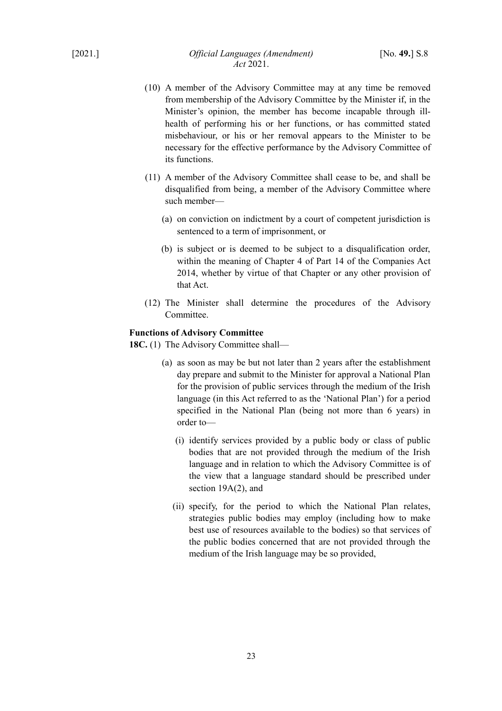- (10) A member of the Advisory Committee may at any time be removed from membership of the Advisory Committee by the Minister if, in the Minister's opinion, the member has become incapable through illhealth of performing his or her functions, or has committed stated misbehaviour, or his or her removal appears to the Minister to be necessary for the effective performance by the Advisory Committee of its functions.
- (11) A member of the Advisory Committee shall cease to be, and shall be disqualified from being, a member of the Advisory Committee where such member—
	- (a) on conviction on indictment by a court of competent jurisdiction is sentenced to a term of imprisonment, or
	- (b) is subject or is deemed to be subject to a disqualification order, within the meaning of Chapter 4 of Part 14 of the Companies Act 2014, whether by virtue of that Chapter or any other provision of that Act.
- (12) The Minister shall determine the procedures of the Advisory Committee.

## **Functions of Advisory Committee**

18C. (1) The Advisory Committee shall—

- (a) as soon as may be but not later than 2 years after the establishment day prepare and submit to the Minister for approval a National Plan for the provision of public services through the medium of the Irish language (in this Act referred to as the 'National Plan') for a period specified in the National Plan (being not more than 6 years) in order to—
	- (i) identify services provided by a public body or class of public bodies that are not provided through the medium of the Irish language and in relation to which the Advisory Committee is of the view that a language standard should be prescribed under section 19A(2), and
	- (ii) specify, for the period to which the National Plan relates, strategies public bodies may employ (including how to make best use of resources available to the bodies) so that services of the public bodies concerned that are not provided through the medium of the Irish language may be so provided,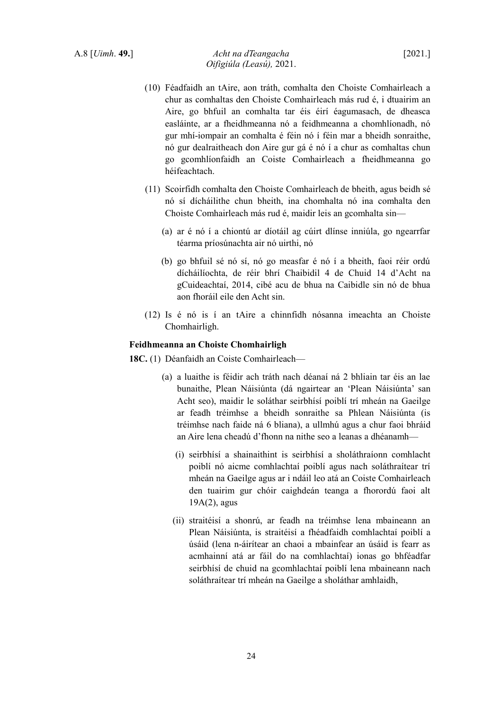- (10) Féadfaidh an tAire, aon tráth, comhalta den Choiste Comhairleach a chur as comhaltas den Choiste Comhairleach más rud é, i dtuairim an Aire, go bhfuil an comhalta tar éis éirí éagumasach, de dheasca easláinte, ar a fheidhmeanna nó a feidhmeanna a chomhlíonadh, nó gur mhí-iompair an comhalta é féin nó í féin mar a bheidh sonraithe, nó gur dealraitheach don Aire gur gá é nó í a chur as comhaltas chun go gcomhlíonfaidh an Coiste Comhairleach a fheidhmeanna go héifeachtach.
- (11) Scoirfidh comhalta den Choiste Comhairleach de bheith, agus beidh sé nó sí dícháilithe chun bheith, ina chomhalta nó ina comhalta den Choiste Comhairleach más rud é, maidir leis an gcomhalta sin—
	- (a) ar é nó í a chiontú ar díotáil ag cúirt dlínse inniúla, go ngearrfar téarma príosúnachta air nó uirthi, nó
	- (b) go bhfuil sé nó sí, nó go measfar é nó í a bheith, faoi réir ordú dícháilíochta, de réir bhrí Chaibidil 4 de Chuid 14 d'Acht na gCuideachtaí, 2014, cibé acu de bhua na Caibidle sin nó de bhua aon fhoráil eile den Acht sin.
- (12) Is é nó is í an tAire a chinnfidh nósanna imeachta an Choiste Chomhairligh.

#### **Feidhmeanna an Choiste Chomhairligh**

**18C.** (1) Déanfaidh an Coiste Comhairleach—

- (a) a luaithe is féidir ach tráth nach déanaí ná 2 bhliain tar éis an lae bunaithe, Plean Náisiúnta (dá ngairtear an 'Plean Náisiúnta' san Acht seo), maidir le soláthar seirbhísí poiblí trí mheán na Gaeilge ar feadh tréimhse a bheidh sonraithe sa Phlean Náisiúnta (is tréimhse nach faide ná 6 bliana), a ullmhú agus a chur faoi bhráid an Aire lena cheadú d'fhonn na nithe seo a leanas a dhéanamh—
	- (i) seirbhísí a shainaithint is seirbhísí a sholáthraíonn comhlacht poiblí nó aicme comhlachtaí poiblí agus nach soláthraítear trí mheán na Gaeilge agus ar i ndáil leo atá an Coiste Comhairleach den tuairim gur chóir caighdeán teanga a fhorordú faoi alt 19A(2), agus
	- (ii) straitéisí a shonrú, ar feadh na tréimhse lena mbaineann an Plean Náisiúnta, is straitéisí a fhéadfaidh comhlachtaí poiblí a úsáid (lena n-áirítear an chaoi a mbainfear an úsáid is fearr as acmhainní atá ar fáil do na comhlachtaí) ionas go bhféadfar seirbhísí de chuid na gcomhlachtaí poiblí lena mbaineann nach soláthraítear trí mheán na Gaeilge a sholáthar amhlaidh,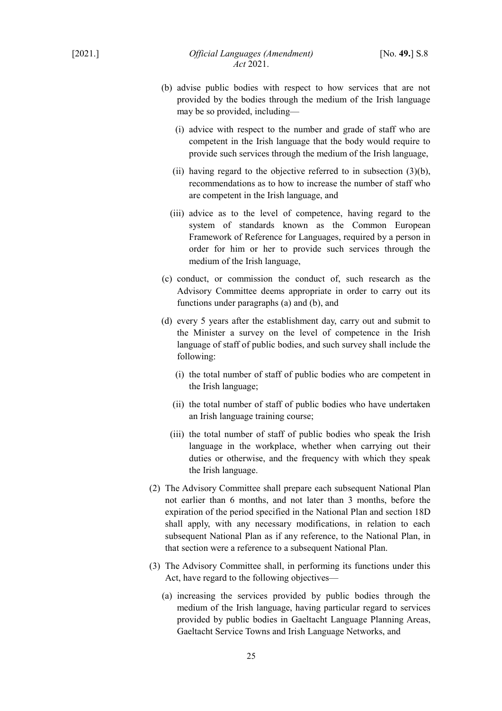- (b) advise public bodies with respect to how services that are not provided by the bodies through the medium of the Irish language may be so provided, including—
	- (i) advice with respect to the number and grade of staff who are competent in the Irish language that the body would require to provide such services through the medium of the Irish language,
	- (ii) having regard to the objective referred to in subsection  $(3)(b)$ , recommendations as to how to increase the number of staff who are competent in the Irish language, and
	- (iii) advice as to the level of competence, having regard to the system of standards known as the Common European Framework of Reference for Languages, required by a person in order for him or her to provide such services through the medium of the Irish language,
- (c) conduct, or commission the conduct of, such research as the Advisory Committee deems appropriate in order to carry out its functions under paragraphs (a) and (b), and
- (d) every 5 years after the establishment day, carry out and submit to the Minister a survey on the level of competence in the Irish language of staff of public bodies, and such survey shall include the following:
	- (i) the total number of staff of public bodies who are competent in the Irish language;
	- (ii) the total number of staff of public bodies who have undertaken an Irish language training course;
	- (iii) the total number of staff of public bodies who speak the Irish language in the workplace, whether when carrying out their duties or otherwise, and the frequency with which they speak the Irish language.
- (2) The Advisory Committee shall prepare each subsequent National Plan not earlier than 6 months, and not later than 3 months, before the expiration of the period specified in the National Plan and section 18D shall apply, with any necessary modifications, in relation to each subsequent National Plan as if any reference, to the National Plan, in that section were a reference to a subsequent National Plan.
- (3) The Advisory Committee shall, in performing its functions under this Act, have regard to the following objectives—
	- (a) increasing the services provided by public bodies through the medium of the Irish language, having particular regard to services provided by public bodies in Gaeltacht Language Planning Areas, Gaeltacht Service Towns and Irish Language Networks, and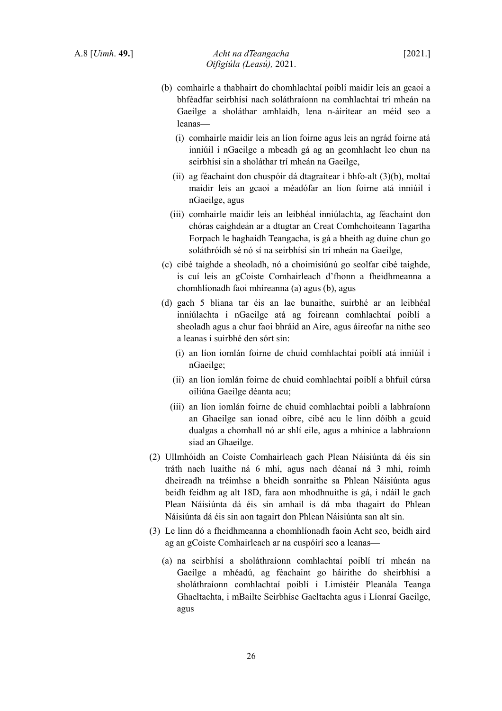- (b) comhairle a thabhairt do chomhlachtaí poiblí maidir leis an gcaoi a bhféadfar seirbhísí nach soláthraíonn na comhlachtaí trí mheán na Gaeilge a sholáthar amhlaidh, lena n-áirítear an méid seo a leanas—
	- (i) comhairle maidir leis an líon foirne agus leis an ngrád foirne atá inniúil i nGaeilge a mbeadh gá ag an gcomhlacht leo chun na seirbhísí sin a sholáthar trí mheán na Gaeilge,
	- (ii) ag féachaint don chuspóir dá dtagraítear i bhfo-alt (3)(b), moltaí maidir leis an gcaoi a méadófar an líon foirne atá inniúil i nGaeilge, agus
	- (iii) comhairle maidir leis an leibhéal inniúlachta, ag féachaint don chóras caighdeán ar a dtugtar an Creat Comhchoiteann Tagartha Eorpach le haghaidh Teangacha, is gá a bheith ag duine chun go soláthróidh sé nó sí na seirbhísí sin trí mheán na Gaeilge,
- (c) cibé taighde a sheoladh, nó a choimisiúnú go seolfar cibé taighde, is cuí leis an gCoiste Comhairleach d'fhonn a fheidhmeanna a chomhlíonadh faoi mhíreanna (a) agus (b), agus
- (d) gach 5 bliana tar éis an lae bunaithe, suirbhé ar an leibhéal inniúlachta i nGaeilge atá ag foireann comhlachtaí poiblí a sheoladh agus a chur faoi bhráid an Aire, agus áireofar na nithe seo a leanas i suirbhé den sórt sin:
	- (i) an líon iomlán foirne de chuid comhlachtaí poiblí atá inniúil i nGaeilge;
	- (ii) an líon iomlán foirne de chuid comhlachtaí poiblí a bhfuil cúrsa oiliúna Gaeilge déanta acu;
	- (iii) an líon iomlán foirne de chuid comhlachtaí poiblí a labhraíonn an Ghaeilge san ionad oibre, cibé acu le linn dóibh a gcuid dualgas a chomhall nó ar shlí eile, agus a mhinice a labhraíonn siad an Ghaeilge.
- (2) Ullmhóidh an Coiste Comhairleach gach Plean Náisiúnta dá éis sin tráth nach luaithe ná 6 mhí, agus nach déanaí ná 3 mhí, roimh dheireadh na tréimhse a bheidh sonraithe sa Phlean Náisiúnta agus beidh feidhm ag alt 18D, fara aon mhodhnuithe is gá, i ndáil le gach Plean Náisiúnta dá éis sin amhail is dá mba thagairt do Phlean Náisiúnta dá éis sin aon tagairt don Phlean Náisiúnta san alt sin.
- (3) Le linn dó a fheidhmeanna a chomhlíonadh faoin Acht seo, beidh aird ag an gCoiste Comhairleach ar na cuspóirí seo a leanas—
	- (a) na seirbhísí a sholáthraíonn comhlachtaí poiblí trí mheán na Gaeilge a mhéadú, ag féachaint go háirithe do sheirbhísí a sholáthraíonn comhlachtaí poiblí i Limistéir Pleanála Teanga Ghaeltachta, i mBailte Seirbhíse Gaeltachta agus i Líonraí Gaeilge, agus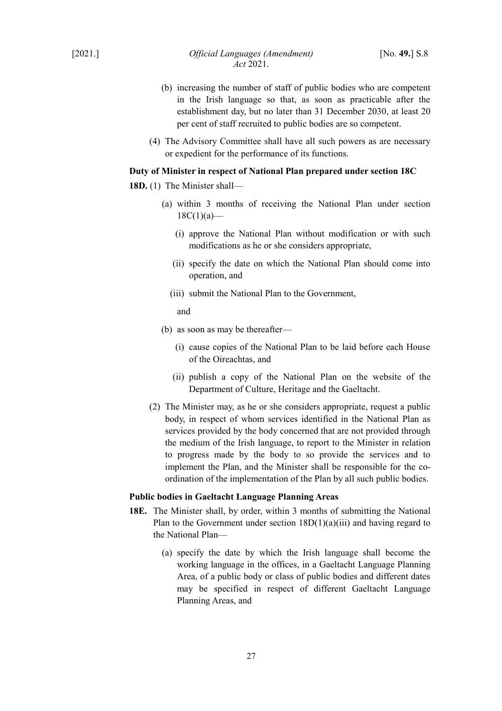- (b) increasing the number of staff of public bodies who are competent in the Irish language so that, as soon as practicable after the establishment day, but no later than 31 December 2030, at least 20 per cent of staff recruited to public bodies are so competent.
- (4) The Advisory Committee shall have all such powers as are necessary or expedient for the performance of its functions.

## **Duty of Minister in respect of National Plan prepared under section 18C**

- **18D.** (1) The Minister shall—
	- (a) within 3 months of receiving the National Plan under section  $18C(1)(a)$ —
		- (i) approve the National Plan without modification or with such modifications as he or she considers appropriate,
		- (ii) specify the date on which the National Plan should come into operation, and
		- (iii) submit the National Plan to the Government,

and

- (b) as soon as may be thereafter—
	- (i) cause copies of the National Plan to be laid before each House of the Oireachtas, and
	- (ii) publish a copy of the National Plan on the website of the Department of Culture, Heritage and the Gaeltacht.
- (2) The Minister may, as he or she considers appropriate, request a public body, in respect of whom services identified in the National Plan as services provided by the body concerned that are not provided through the medium of the Irish language, to report to the Minister in relation to progress made by the body to so provide the services and to implement the Plan, and the Minister shall be responsible for the coordination of the implementation of the Plan by all such public bodies.

#### **Public bodies in Gaeltacht Language Planning Areas**

- **18E.** The Minister shall, by order, within 3 months of submitting the National Plan to the Government under section  $18D(1)(a)(iii)$  and having regard to the National Plan—
	- (a) specify the date by which the Irish language shall become the working language in the offices, in a Gaeltacht Language Planning Area, of a public body or class of public bodies and different dates may be specified in respect of different Gaeltacht Language Planning Areas, and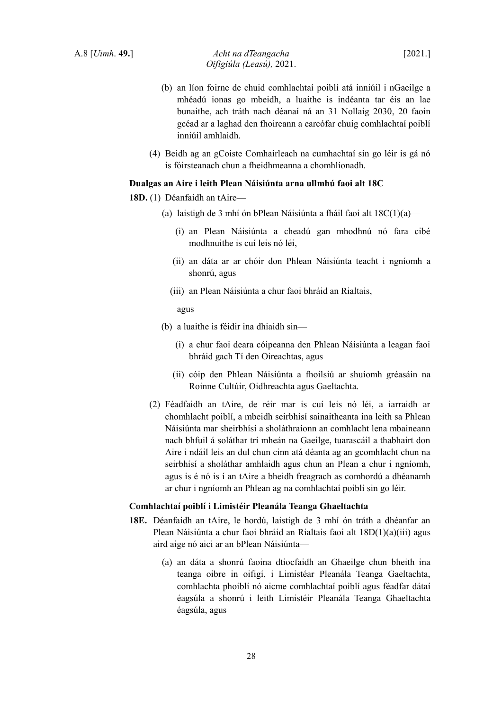- (b) an líon foirne de chuid comhlachtaí poiblí atá inniúil i nGaeilge a mhéadú ionas go mbeidh, a luaithe is indéanta tar éis an lae bunaithe, ach tráth nach déanaí ná an 31 Nollaig 2030, 20 faoin gcéad ar a laghad den fhoireann a earcófar chuig comhlachtaí poiblí inniúil amhlaidh.
- (4) Beidh ag an gCoiste Comhairleach na cumhachtaí sin go léir is gá nó is fóirsteanach chun a fheidhmeanna a chomhlíonadh.

## **Dualgas an Aire i leith Plean Náisiúnta arna ullmhú faoi alt 18C**

# **18D.** (1) Déanfaidh an tAire—

- (a) laistigh de 3 mhí ón bPlean Náisiúnta a fháil faoi alt  $18C(1)(a)$ 
	- (i) an Plean Náisiúnta a cheadú gan mhodhnú nó fara cibé modhnuithe is cuí leis nó léi,
	- (ii) an dáta ar ar chóir don Phlean Náisiúnta teacht i ngníomh a shonrú, agus
	- (iii) an Plean Náisiúnta a chur faoi bhráid an Rialtais,

agus

- (b) a luaithe is féidir ina dhiaidh sin—
	- (i) a chur faoi deara cóipeanna den Phlean Náisiúnta a leagan faoi bhráid gach Tí den Oireachtas, agus
	- (ii) cóip den Phlean Náisiúnta a fhoilsiú ar shuíomh gréasáin na Roinne Cultúir, Oidhreachta agus Gaeltachta.
- (2) Féadfaidh an tAire, de réir mar is cuí leis nó léi, a iarraidh ar chomhlacht poiblí, a mbeidh seirbhísí sainaitheanta ina leith sa Phlean Náisiúnta mar sheirbhísí a sholáthraíonn an comhlacht lena mbaineann nach bhfuil á soláthar trí mheán na Gaeilge, tuarascáil a thabhairt don Aire i ndáil leis an dul chun cinn atá déanta ag an gcomhlacht chun na seirbhísí a sholáthar amhlaidh agus chun an Plean a chur i ngníomh, agus is é nó is í an tAire a bheidh freagrach as comhordú a dhéanamh ar chur i ngníomh an Phlean ag na comhlachtaí poiblí sin go léir.

### **Comhlachtaí poiblí i Limistéir Pleanála Teanga Ghaeltachta**

- **18E.** Déanfaidh an tAire, le hordú, laistigh de 3 mhí ón tráth a dhéanfar an Plean Náisiúnta a chur faoi bhráid an Rialtais faoi alt 18D(1)(a)(iii) agus aird aige nó aici ar an bPlean Náisiúnta—
	- (a) an dáta a shonrú faoina dtiocfaidh an Ghaeilge chun bheith ina teanga oibre in oifigí, i Limistéar Pleanála Teanga Gaeltachta, comhlachta phoiblí nó aicme comhlachtaí poiblí agus féadfar dátaí éagsúla a shonrú i leith Limistéir Pleanála Teanga Ghaeltachta éagsúla, agus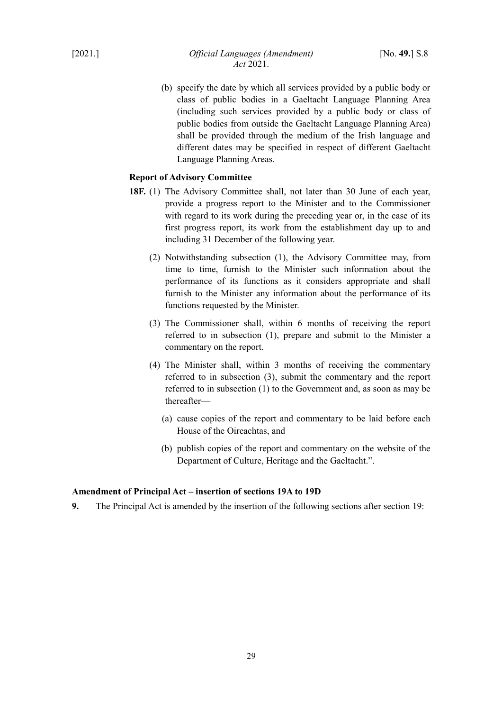(b) specify the date by which all services provided by a public body or class of public bodies in a Gaeltacht Language Planning Area (including such services provided by a public body or class of public bodies from outside the Gaeltacht Language Planning Area) shall be provided through the medium of the Irish language and different dates may be specified in respect of different Gaeltacht Language Planning Areas.

## **Report of Advisory Committee**

- **18F.** (1) The Advisory Committee shall, not later than 30 June of each year, provide a progress report to the Minister and to the Commissioner with regard to its work during the preceding year or, in the case of its first progress report, its work from the establishment day up to and including 31 December of the following year.
	- (2) Notwithstanding subsection (1), the Advisory Committee may, from time to time, furnish to the Minister such information about the performance of its functions as it considers appropriate and shall furnish to the Minister any information about the performance of its functions requested by the Minister.
	- (3) The Commissioner shall, within 6 months of receiving the report referred to in subsection (1), prepare and submit to the Minister a commentary on the report.
	- (4) The Minister shall, within 3 months of receiving the commentary referred to in subsection (3), submit the commentary and the report referred to in subsection (1) to the Government and, as soon as may be thereafter—
		- (a) cause copies of the report and commentary to be laid before each House of the Oireachtas, and
		- (b) publish copies of the report and commentary on the website of the Department of Culture, Heritage and the Gaeltacht.".

### <span id="page-30-0"></span>**Amendment of Principal Act – insertion of sections 19A to 19D**

**9.** The Principal Act is amended by the insertion of the following sections after section 19: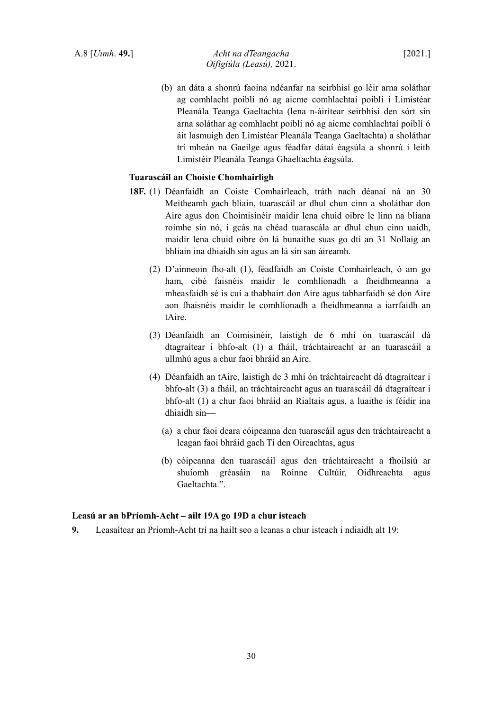A.8 [*Uimh*. **49.**] *Acht na dTeangacha* [2021.] *Oifigiúla (Leasú),* 2021.

(b) an dáta a shonrú faoina ndéanfar na seirbhísí go léir arna soláthar ag comhlacht poiblí nó ag aicme comhlachtaí poiblí i Limistéar Pleanála Teanga Gaeltachta (lena n-áirítear seirbhísí den sórt sin arna soláthar ag comhlacht poiblí nó ag aicme comhlachtaí poiblí ó áit lasmuigh den Limistéar Pleanála Teanga Gaeltachta) a sholáthar trí mheán na Gaeilge agus féadfar dátaí éagsúla a shonrú i leith Limistéir Pleanála Teanga Ghaeltachta éagsúla.

## **Tuarascáil an Choiste Chomhairligh**

- **18F.** (1) Déanfaidh an Coiste Comhairleach, tráth nach déanaí ná an 30 Meitheamh gach bliain, tuarascáil ar dhul chun cinn a sholáthar don Aire agus don Choimisinéir maidir lena chuid oibre le linn na bliana roimhe sin nó, i gcás na chéad tuarascála ar dhul chun cinn uaidh, maidir lena chuid oibre ón lá bunaithe suas go dtí an 31 Nollaig an bhliain ina dhiaidh sin agus an lá sin san áireamh.
	- (2) D'ainneoin fho-alt (1), féadfaidh an Coiste Comhairleach, ó am go ham, cibé faisnéis maidir le comhlíonadh a fheidhmeanna a mheasfaidh sé is cuí a thabhairt don Aire agus tabharfaidh sé don Aire aon fhaisnéis maidir le comhlíonadh a fheidhmeanna a iarrfaidh an tAire.
	- (3) Déanfaidh an Coimisinéir, laistigh de 6 mhí ón tuarascáil dá dtagraítear i bhfo-alt (1) a fháil, tráchtaireacht ar an tuarascáil a ullmhú agus a chur faoi bhráid an Aire.
	- (4) Déanfaidh an tAire, laistigh de 3 mhí ón tráchtaireacht dá dtagraítear i bhfo-alt (3) a fháil, an tráchtaireacht agus an tuarascáil dá dtagraítear i bhfo-alt (1) a chur faoi bhráid an Rialtais agus, a luaithe is féidir ina dhiaidh sin—
		- (a) a chur faoi deara cóipeanna den tuarascáil agus den tráchtaireacht a leagan faoi bhráid gach Tí den Oireachtas, agus
		- (b) cóipeanna den tuarascáil agus den tráchtaireacht a fhoilsiú ar shuíomh gréasáin na Roinne Cultúir, Oidhreachta agus Gaeltachta.".

## **Leasú ar an bPríomh-Acht – ailt 19A go 19D a chur isteach**

**9.** Leasaítear an Príomh-Acht trí na hailt seo a leanas a chur isteach i ndiaidh alt 19: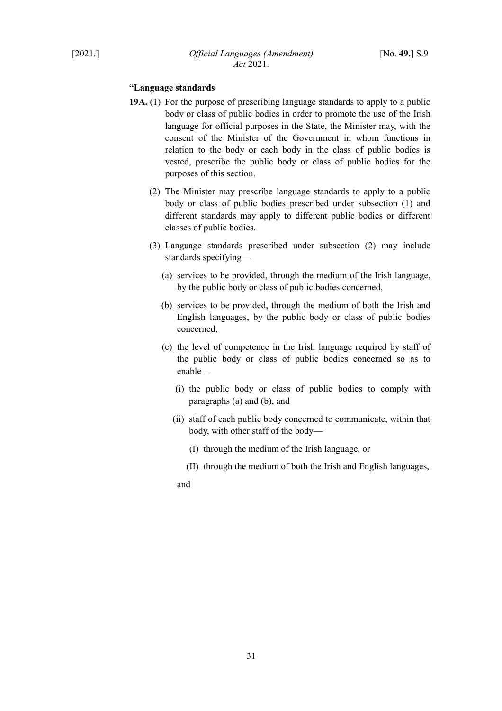## **"Language standards**

- **19A.** (1) For the purpose of prescribing language standards to apply to a public body or class of public bodies in order to promote the use of the Irish language for official purposes in the State, the Minister may, with the consent of the Minister of the Government in whom functions in relation to the body or each body in the class of public bodies is vested, prescribe the public body or class of public bodies for the purposes of this section.
	- (2) The Minister may prescribe language standards to apply to a public body or class of public bodies prescribed under subsection (1) and different standards may apply to different public bodies or different classes of public bodies.
	- (3) Language standards prescribed under subsection (2) may include standards specifying—
		- (a) services to be provided, through the medium of the Irish language, by the public body or class of public bodies concerned,
		- (b) services to be provided, through the medium of both the Irish and English languages, by the public body or class of public bodies concerned,
		- (c) the level of competence in the Irish language required by staff of the public body or class of public bodies concerned so as to enable—
			- (i) the public body or class of public bodies to comply with paragraphs (a) and (b), and
			- (ii) staff of each public body concerned to communicate, within that body, with other staff of the body—
				- (I) through the medium of the Irish language, or
				- (II) through the medium of both the Irish and English languages,

and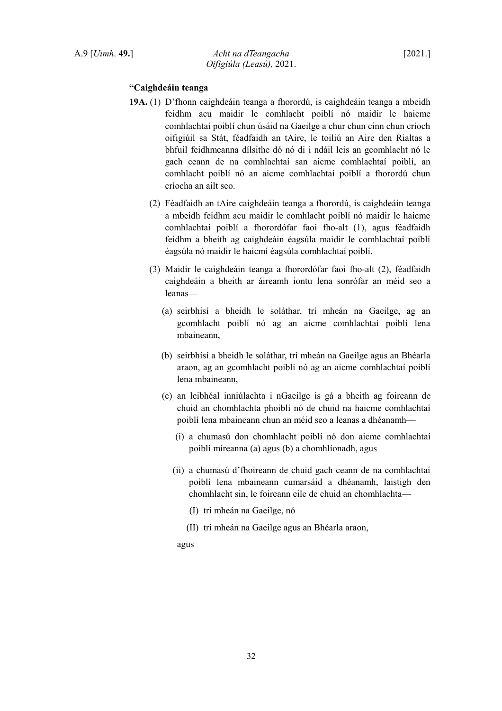## **"Caighdeáin teanga**

- **19A.** (1) D'fhonn caighdeáin teanga a fhorordú, is caighdeáin teanga a mbeidh feidhm acu maidir le comhlacht poiblí nó maidir le haicme comhlachtaí poiblí chun úsáid na Gaeilge a chur chun cinn chun críoch oifigiúil sa Stát, féadfaidh an tAire, le toiliú an Aire den Rialtas a bhfuil feidhmeanna dílsithe dó nó di i ndáil leis an gcomhlacht nó le gach ceann de na comhlachtaí san aicme comhlachtaí poiblí, an comhlacht poiblí nó an aicme comhlachtaí poiblí a fhorordú chun críocha an ailt seo.
	- (2) Féadfaidh an tAire caighdeáin teanga a fhorordú, is caighdeáin teanga a mbeidh feidhm acu maidir le comhlacht poiblí nó maidir le haicme comhlachtaí poiblí a fhorordófar faoi fho-alt (1), agus féadfaidh feidhm a bheith ag caighdeáin éagsúla maidir le comhlachtaí poiblí éagsúla nó maidir le haicmí éagsúla comhlachtaí poiblí.
	- (3) Maidir le caighdeáin teanga a fhorordófar faoi fho-alt (2), féadfaidh caighdeáin a bheith ar áireamh iontu lena sonrófar an méid seo a leanas—
		- (a) seirbhísí a bheidh le soláthar, trí mheán na Gaeilge, ag an gcomhlacht poiblí nó ag an aicme comhlachtaí poiblí lena mbaineann,
		- (b) seirbhísí a bheidh le soláthar, trí mheán na Gaeilge agus an Bhéarla araon, ag an gcomhlacht poiblí nó ag an aicme comhlachtaí poiblí lena mbaineann,
		- (c) an leibhéal inniúlachta i nGaeilge is gá a bheith ag foireann de chuid an chomhlachta phoiblí nó de chuid na haicme comhlachtaí poiblí lena mbaineann chun an méid seo a leanas a dhéanamh—
			- (i) a chumasú don chomhlacht poiblí nó don aicme comhlachtaí poiblí míreanna (a) agus (b) a chomhlíonadh, agus
			- (ii) a chumasú d'fhoireann de chuid gach ceann de na comhlachtaí poiblí lena mbaineann cumarsáid a dhéanamh, laistigh den chomhlacht sin, le foireann eile de chuid an chomhlachta—
				- (I) trí mheán na Gaeilge, nó
				- (II) trí mheán na Gaeilge agus an Bhéarla araon,

agus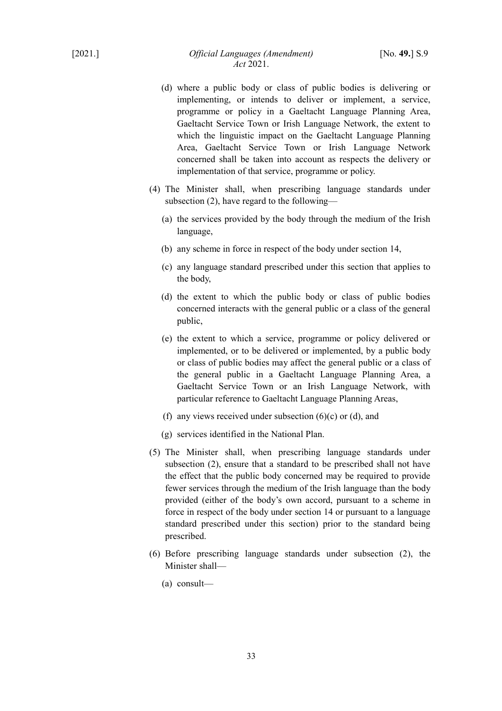- (d) where a public body or class of public bodies is delivering or implementing, or intends to deliver or implement, a service, programme or policy in a Gaeltacht Language Planning Area, Gaeltacht Service Town or Irish Language Network, the extent to which the linguistic impact on the Gaeltacht Language Planning Area, Gaeltacht Service Town or Irish Language Network concerned shall be taken into account as respects the delivery or implementation of that service, programme or policy.
- (4) The Minister shall, when prescribing language standards under subsection (2), have regard to the following—
	- (a) the services provided by the body through the medium of the Irish language,
	- (b) any scheme in force in respect of the body under section 14,
	- (c) any language standard prescribed under this section that applies to the body,
	- (d) the extent to which the public body or class of public bodies concerned interacts with the general public or a class of the general public,
	- (e) the extent to which a service, programme or policy delivered or implemented, or to be delivered or implemented, by a public body or class of public bodies may affect the general public or a class of the general public in a Gaeltacht Language Planning Area, a Gaeltacht Service Town or an Irish Language Network, with particular reference to Gaeltacht Language Planning Areas,
	- (f) any views received under subsection  $(6)(c)$  or  $(d)$ , and
	- (g) services identified in the National Plan.
- (5) The Minister shall, when prescribing language standards under subsection (2), ensure that a standard to be prescribed shall not have the effect that the public body concerned may be required to provide fewer services through the medium of the Irish language than the body provided (either of the body's own accord, pursuant to a scheme in force in respect of the body under section 14 or pursuant to a language standard prescribed under this section) prior to the standard being prescribed.
- (6) Before prescribing language standards under subsection (2), the Minister shall—
	- (a) consult—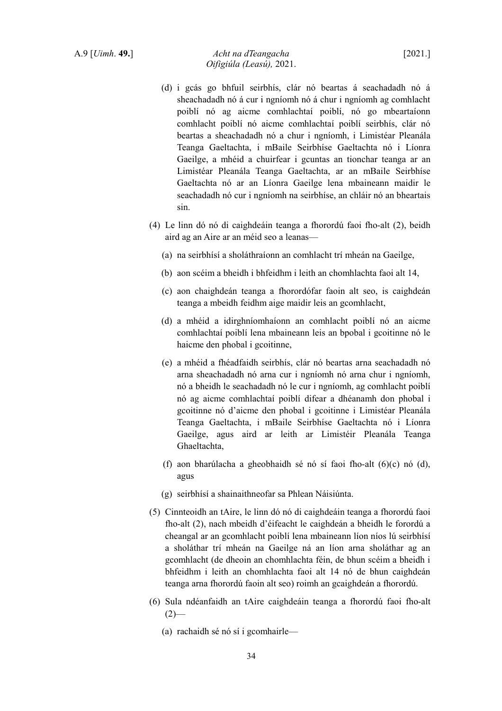## A.9 [*Uimh*. **49.**] *Acht na dTeangacha* [2021.] *Oifigiúla (Leasú),* 2021.

- (d) i gcás go bhfuil seirbhís, clár nó beartas á seachadadh nó á sheachadadh nó á cur i ngníomh nó á chur i ngníomh ag comhlacht poiblí nó ag aicme comhlachtaí poiblí, nó go mbeartaíonn comhlacht poiblí nó aicme comhlachtaí poiblí seirbhís, clár nó beartas a sheachadadh nó a chur i ngníomh, i Limistéar Pleanála Teanga Gaeltachta, i mBaile Seirbhíse Gaeltachta nó i Líonra Gaeilge, a mhéid a chuirfear i gcuntas an tionchar teanga ar an Limistéar Pleanála Teanga Gaeltachta, ar an mBaile Seirbhíse Gaeltachta nó ar an Líonra Gaeilge lena mbaineann maidir le seachadadh nó cur i ngníomh na seirbhíse, an chláir nó an bheartais sin.
- (4) Le linn dó nó di caighdeáin teanga a fhorordú faoi fho-alt (2), beidh aird ag an Aire ar an méid seo a leanas—
	- (a) na seirbhísí a sholáthraíonn an comhlacht trí mheán na Gaeilge,
	- (b) aon scéim a bheidh i bhfeidhm i leith an chomhlachta faoi alt 14,
	- (c) aon chaighdeán teanga a fhorordófar faoin alt seo, is caighdeán teanga a mbeidh feidhm aige maidir leis an gcomhlacht,
	- (d) a mhéid a idirghníomhaíonn an comhlacht poiblí nó an aicme comhlachtaí poiblí lena mbaineann leis an bpobal i gcoitinne nó le haicme den phobal i gcoitinne,
	- (e) a mhéid a fhéadfaidh seirbhís, clár nó beartas arna seachadadh nó arna sheachadadh nó arna cur i ngníomh nó arna chur i ngníomh, nó a bheidh le seachadadh nó le cur i ngníomh, ag comhlacht poiblí nó ag aicme comhlachtaí poiblí difear a dhéanamh don phobal i gcoitinne nó d'aicme den phobal i gcoitinne i Limistéar Pleanála Teanga Gaeltachta, i mBaile Seirbhíse Gaeltachta nó i Líonra Gaeilge, agus aird ar leith ar Limistéir Pleanála Teanga Ghaeltachta,
	- (f) aon bharúlacha a gheobhaidh sé nó sí faoi fho-alt (6)(c) nó (d), agus
	- (g) seirbhísí a shainaithneofar sa Phlean Náisiúnta.
- (5) Cinnteoidh an tAire, le linn dó nó di caighdeáin teanga a fhorordú faoi fho-alt (2), nach mbeidh d'éifeacht le caighdeán a bheidh le forordú a cheangal ar an gcomhlacht poiblí lena mbaineann líon níos lú seirbhísí a sholáthar trí mheán na Gaeilge ná an líon arna sholáthar ag an gcomhlacht (de dheoin an chomhlachta féin, de bhun scéim a bheidh i bhfeidhm i leith an chomhlachta faoi alt 14 nó de bhun caighdeán teanga arna fhorordú faoin alt seo) roimh an gcaighdeán a fhorordú.
- (6) Sula ndéanfaidh an tAire caighdeáin teanga a fhorordú faoi fho-alt  $(2)$ —
	- (a) rachaidh sé nó sí i gcomhairle—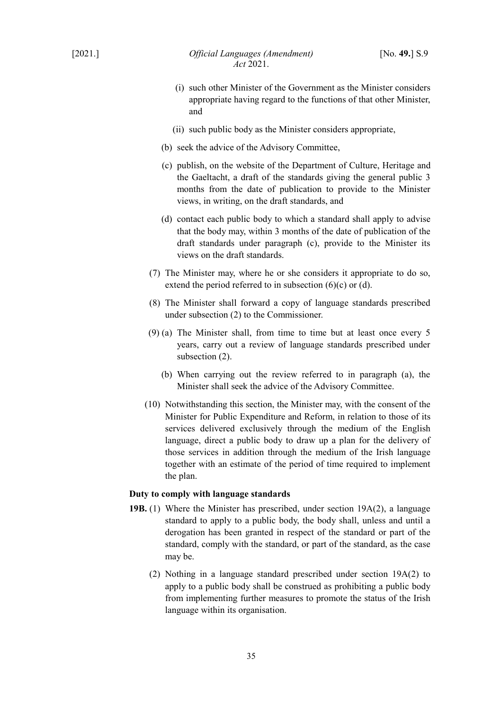- (i) such other Minister of the Government as the Minister considers appropriate having regard to the functions of that other Minister, and
- (ii) such public body as the Minister considers appropriate,
- (b) seek the advice of the Advisory Committee,
- (c) publish, on the website of the Department of Culture, Heritage and the Gaeltacht, a draft of the standards giving the general public 3 months from the date of publication to provide to the Minister views, in writing, on the draft standards, and
- (d) contact each public body to which a standard shall apply to advise that the body may, within 3 months of the date of publication of the draft standards under paragraph (c), provide to the Minister its views on the draft standards.
- (7) The Minister may, where he or she considers it appropriate to do so, extend the period referred to in subsection  $(6)(c)$  or  $(d)$ .
- (8) The Minister shall forward a copy of language standards prescribed under subsection (2) to the Commissioner.
- (9) (a) The Minister shall, from time to time but at least once every 5 years, carry out a review of language standards prescribed under subsection (2).
	- (b) When carrying out the review referred to in paragraph (a), the Minister shall seek the advice of the Advisory Committee.
- (10) Notwithstanding this section, the Minister may, with the consent of the Minister for Public Expenditure and Reform, in relation to those of its services delivered exclusively through the medium of the English language, direct a public body to draw up a plan for the delivery of those services in addition through the medium of the Irish language together with an estimate of the period of time required to implement the plan.

## **Duty to comply with language standards**

- **19B.** (1) Where the Minister has prescribed, under section 19A(2), a language standard to apply to a public body, the body shall, unless and until a derogation has been granted in respect of the standard or part of the standard, comply with the standard, or part of the standard, as the case may be.
	- (2) Nothing in a language standard prescribed under section 19A(2) to apply to a public body shall be construed as prohibiting a public body from implementing further measures to promote the status of the Irish language within its organisation.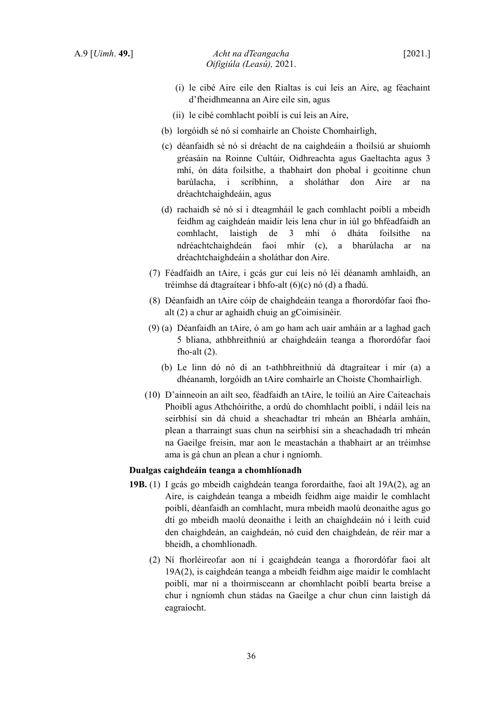- (ii) le cibé comhlacht poiblí is cuí leis an Aire,
- (b) lorgóidh sé nó sí comhairle an Choiste Chomhairligh,
- (c) déanfaidh sé nó sí dréacht de na caighdeáin a fhoilsiú ar shuíomh gréasáin na Roinne Cultúir, Oidhreachta agus Gaeltachta agus 3 mhí, ón dáta foilsithe, a thabhairt don phobal i gcoitinne chun barúlacha, i scríbhinn, a sholáthar don Aire ar na dréachtchaighdeáin, agus
- (d) rachaidh sé nó sí i dteagmháil le gach comhlacht poiblí a mbeidh feidhm ag caighdeán maidir leis lena chur in iúl go bhféadfaidh an comhlacht, laistigh de 3 mhí ó dháta foilsithe na ndréachtchaighdeán faoi mhír (c), a bharúlacha ar na dréachtchaighdeáin a sholáthar don Aire.
- (7) Féadfaidh an tAire, i gcás gur cuí leis nó léi déanamh amhlaidh, an tréimhse dá dtagraítear i bhfo-alt (6)(c) nó (d) a fhadú.
- (8) Déanfaidh an tAire cóip de chaighdeáin teanga a fhorordófar faoi fhoalt (2) a chur ar aghaidh chuig an gCoimisinéir.
- (9) (a) Déanfaidh an tAire, ó am go ham ach uair amháin ar a laghad gach 5 bliana, athbhreithniú ar chaighdeáin teanga a fhorordófar faoi fho-alt  $(2)$ .
	- (b) Le linn dó nó di an t-athbhreithniú dá dtagraítear i mír (a) a dhéanamh, lorgóidh an tAire comhairle an Choiste Chomhairligh.
- (10) D'ainneoin an ailt seo, féadfaidh an tAire, le toiliú an Aire Caiteachais Phoiblí agus Athchóirithe, a ordú do chomhlacht poiblí, i ndáil leis na seirbhísí sin dá chuid a sheachadtar trí mheán an Bhéarla amháin, plean a tharraingt suas chun na seirbhísí sin a sheachadadh trí mheán na Gaeilge freisin, mar aon le meastachán a thabhairt ar an tréimhse ama is gá chun an plean a chur i ngníomh.

## **Dualgas caighdeáin teanga a chomhlíonadh**

- **19B.** (1) I gcás go mbeidh caighdeán teanga forordaithe, faoi alt 19A(2), ag an Aire, is caighdeán teanga a mbeidh feidhm aige maidir le comhlacht poiblí, déanfaidh an comhlacht, mura mbeidh maolú deonaithe agus go dtí go mbeidh maolú deonaithe i leith an chaighdeáin nó i leith cuid den chaighdeán, an caighdeán, nó cuid den chaighdeán, de réir mar a bheidh, a chomhlíonadh.
	- (2) Ní fhorléireofar aon ní i gcaighdeán teanga a fhorordófar faoi alt 19A(2), is caighdeán teanga a mbeidh feidhm aige maidir le comhlacht poiblí, mar ní a thoirmisceann ar chomhlacht poiblí bearta breise a chur i ngníomh chun stádas na Gaeilge a chur chun cinn laistigh dá eagraíocht.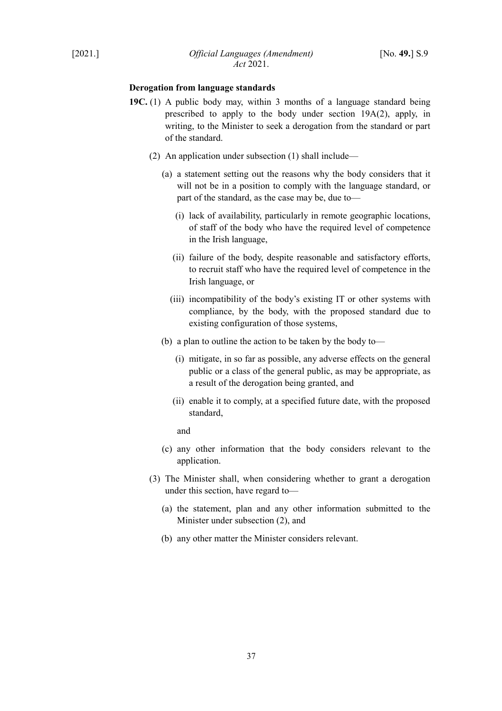## **Derogation from language standards**

- **19C.** (1) A public body may, within 3 months of a language standard being prescribed to apply to the body under section 19A(2), apply, in writing, to the Minister to seek a derogation from the standard or part of the standard.
	- (2) An application under subsection (1) shall include—
		- (a) a statement setting out the reasons why the body considers that it will not be in a position to comply with the language standard, or part of the standard, as the case may be, due to—
			- (i) lack of availability, particularly in remote geographic locations, of staff of the body who have the required level of competence in the Irish language,
			- (ii) failure of the body, despite reasonable and satisfactory efforts, to recruit staff who have the required level of competence in the Irish language, or
			- (iii) incompatibility of the body's existing IT or other systems with compliance, by the body, with the proposed standard due to existing configuration of those systems,
		- (b) a plan to outline the action to be taken by the body to—
			- (i) mitigate, in so far as possible, any adverse effects on the general public or a class of the general public, as may be appropriate, as a result of the derogation being granted, and
			- (ii) enable it to comply, at a specified future date, with the proposed standard,

and

- (c) any other information that the body considers relevant to the application.
- (3) The Minister shall, when considering whether to grant a derogation under this section, have regard to—
	- (a) the statement, plan and any other information submitted to the Minister under subsection (2), and
	- (b) any other matter the Minister considers relevant.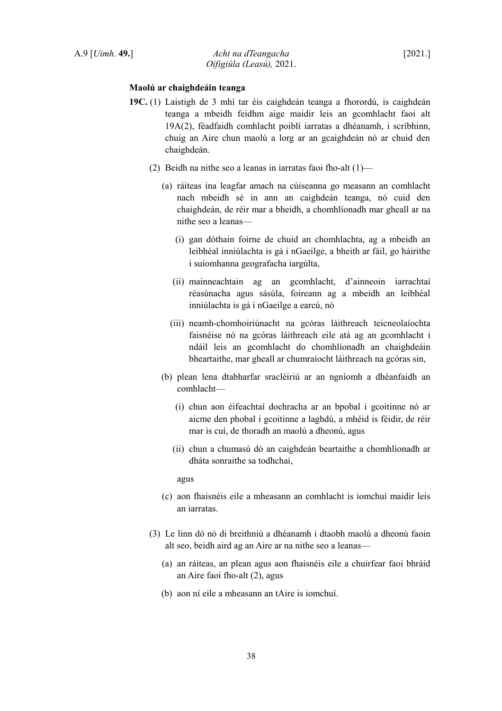## **Maolú ar chaighdeáin teanga**

- **19C.** (1) Laistigh de 3 mhí tar éis caighdeán teanga a fhorordú, is caighdeán teanga a mbeidh feidhm aige maidir leis an gcomhlacht faoi alt 19A(2), féadfaidh comhlacht poiblí iarratas a dhéanamh, i scríbhinn, chuig an Aire chun maolú a lorg ar an gcaighdeán nó ar chuid den chaighdeán.
	- (2) Beidh na nithe seo a leanas in iarratas faoi fho-alt (1)—
		- (a) ráiteas ina leagfar amach na cúiseanna go measann an comhlacht nach mbeidh sé in ann an caighdeán teanga, nó cuid den chaighdeán, de réir mar a bheidh, a chomhlíonadh mar gheall ar na nithe seo a leanas—
			- (i) gan dóthain foirne de chuid an chomhlachta, ag a mbeidh an leibhéal inniúlachta is gá i nGaeilge, a bheith ar fáil, go háirithe i suíomhanna geografacha iargúlta,
			- (ii) mainneachtain ag an gcomhlacht, d'ainneoin iarrachtaí réasúnacha agus sásúla, foireann ag a mbeidh an leibhéal inniúlachta is gá i nGaeilge a earcú, nó
			- (iii) neamh-chomhoiriúnacht na gcóras láithreach teicneolaíochta faisnéise nó na gcóras láithreach eile atá ag an gcomhlacht i ndáil leis an gcomhlacht do chomhlíonadh an chaighdeáin bheartaithe, mar gheall ar chumraíocht láithreach na gcóras sin,
		- (b) plean lena dtabharfar sracléiriú ar an ngníomh a dhéanfaidh an comhlacht—
			- (i) chun aon éifeachtaí dochracha ar an bpobal i gcoitinne nó ar aicme den phobal i gcoitinne a laghdú, a mhéid is féidir, de réir mar is cuí, de thoradh an maolú a dheonú, agus
			- (ii) chun a chumasú dó an caighdeán beartaithe a chomhlíonadh ar dháta sonraithe sa todhchaí,

agus

- (c) aon fhaisnéis eile a mheasann an comhlacht is iomchuí maidir leis an iarratas.
- (3) Le linn dó nó di breithniú a dhéanamh i dtaobh maolú a dheonú faoin alt seo, beidh aird ag an Aire ar na nithe seo a leanas—
	- (a) an ráiteas, an plean agus aon fhaisnéis eile a chuirfear faoi bhráid an Aire faoi fho-alt (2), agus
	- (b) aon ní eile a mheasann an tAire is iomchuí.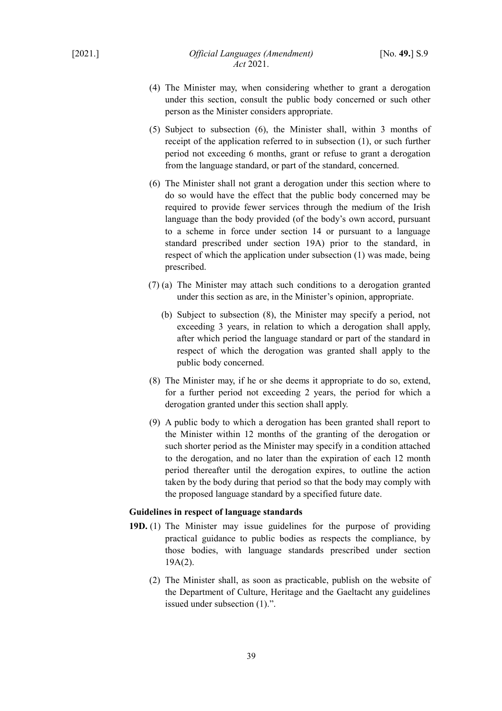- (4) The Minister may, when considering whether to grant a derogation under this section, consult the public body concerned or such other person as the Minister considers appropriate.
- (5) Subject to subsection (6), the Minister shall, within 3 months of receipt of the application referred to in subsection (1), or such further period not exceeding 6 months, grant or refuse to grant a derogation from the language standard, or part of the standard, concerned.
- (6) The Minister shall not grant a derogation under this section where to do so would have the effect that the public body concerned may be required to provide fewer services through the medium of the Irish language than the body provided (of the body's own accord, pursuant to a scheme in force under section 14 or pursuant to a language standard prescribed under section 19A) prior to the standard, in respect of which the application under subsection (1) was made, being prescribed.
- (7) (a) The Minister may attach such conditions to a derogation granted under this section as are, in the Minister's opinion, appropriate.
	- (b) Subject to subsection (8), the Minister may specify a period, not exceeding 3 years, in relation to which a derogation shall apply, after which period the language standard or part of the standard in respect of which the derogation was granted shall apply to the public body concerned.
- (8) The Minister may, if he or she deems it appropriate to do so, extend, for a further period not exceeding 2 years, the period for which a derogation granted under this section shall apply.
- (9) A public body to which a derogation has been granted shall report to the Minister within 12 months of the granting of the derogation or such shorter period as the Minister may specify in a condition attached to the derogation, and no later than the expiration of each 12 month period thereafter until the derogation expires, to outline the action taken by the body during that period so that the body may comply with the proposed language standard by a specified future date.

## **Guidelines in respect of language standards**

- **19D.** (1) The Minister may issue guidelines for the purpose of providing practical guidance to public bodies as respects the compliance, by those bodies, with language standards prescribed under section 19A(2).
	- (2) The Minister shall, as soon as practicable, publish on the website of the Department of Culture, Heritage and the Gaeltacht any guidelines issued under subsection (1).".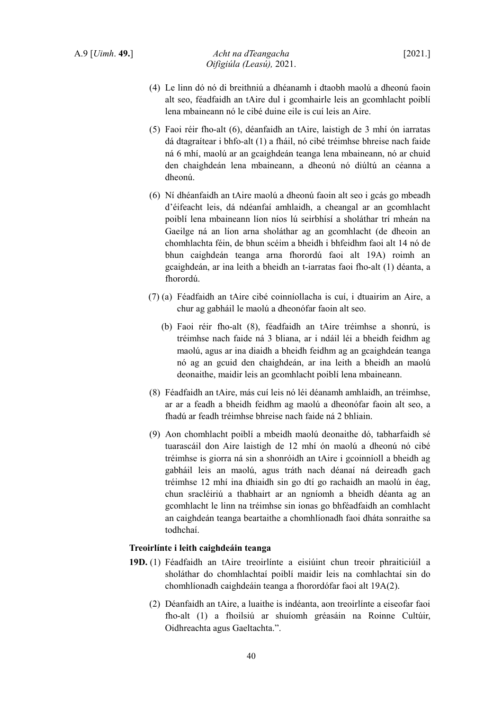- (4) Le linn dó nó di breithniú a dhéanamh i dtaobh maolú a dheonú faoin alt seo, féadfaidh an tAire dul i gcomhairle leis an gcomhlacht poiblí lena mbaineann nó le cibé duine eile is cuí leis an Aire.
- (5) Faoi réir fho-alt (6), déanfaidh an tAire, laistigh de 3 mhí ón iarratas dá dtagraítear i bhfo-alt (1) a fháil, nó cibé tréimhse bhreise nach faide ná 6 mhí, maolú ar an gcaighdeán teanga lena mbaineann, nó ar chuid den chaighdeán lena mbaineann, a dheonú nó diúltú an céanna a dheonú.
- (6) Ní dhéanfaidh an tAire maolú a dheonú faoin alt seo i gcás go mbeadh d'éifeacht leis, dá ndéanfaí amhlaidh, a cheangal ar an gcomhlacht poiblí lena mbaineann líon níos lú seirbhísí a sholáthar trí mheán na Gaeilge ná an líon arna sholáthar ag an gcomhlacht (de dheoin an chomhlachta féin, de bhun scéim a bheidh i bhfeidhm faoi alt 14 nó de bhun caighdeán teanga arna fhorordú faoi alt 19A) roimh an gcaighdeán, ar ina leith a bheidh an t-iarratas faoi fho-alt (1) déanta, a fhorordú.
- (7) (a) Féadfaidh an tAire cibé coinníollacha is cuí, i dtuairim an Aire, a chur ag gabháil le maolú a dheonófar faoin alt seo.
	- (b) Faoi réir fho-alt (8), féadfaidh an tAire tréimhse a shonrú, is tréimhse nach faide ná 3 bliana, ar i ndáil léi a bheidh feidhm ag maolú, agus ar ina diaidh a bheidh feidhm ag an gcaighdeán teanga nó ag an gcuid den chaighdeán, ar ina leith a bheidh an maolú deonaithe, maidir leis an gcomhlacht poiblí lena mbaineann.
- (8) Féadfaidh an tAire, más cuí leis nó léi déanamh amhlaidh, an tréimhse, ar ar a feadh a bheidh feidhm ag maolú a dheonófar faoin alt seo, a fhadú ar feadh tréimhse bhreise nach faide ná 2 bhliain.
- (9) Aon chomhlacht poiblí a mbeidh maolú deonaithe dó, tabharfaidh sé tuarascáil don Aire laistigh de 12 mhí ón maolú a dheonú nó cibé tréimhse is giorra ná sin a shonróidh an tAire i gcoinníoll a bheidh ag gabháil leis an maolú, agus tráth nach déanaí ná deireadh gach tréimhse 12 mhí ina dhiaidh sin go dtí go rachaidh an maolú in éag, chun sracléiriú a thabhairt ar an ngníomh a bheidh déanta ag an gcomhlacht le linn na tréimhse sin ionas go bhféadfaidh an comhlacht an caighdeán teanga beartaithe a chomhlíonadh faoi dháta sonraithe sa todhchaí.

#### **Treoirlínte i leith caighdeáin teanga**

- **19D.** (1) Féadfaidh an tAire treoirlínte a eisiúint chun treoir phraiticiúil a sholáthar do chomhlachtaí poiblí maidir leis na comhlachtaí sin do chomhlíonadh caighdeáin teanga a fhorordófar faoi alt 19A(2).
	- (2) Déanfaidh an tAire, a luaithe is indéanta, aon treoirlínte a eiseofar faoi fho-alt (1) a fhoilsiú ar shuíomh gréasáin na Roinne Cultúir, Oidhreachta agus Gaeltachta.".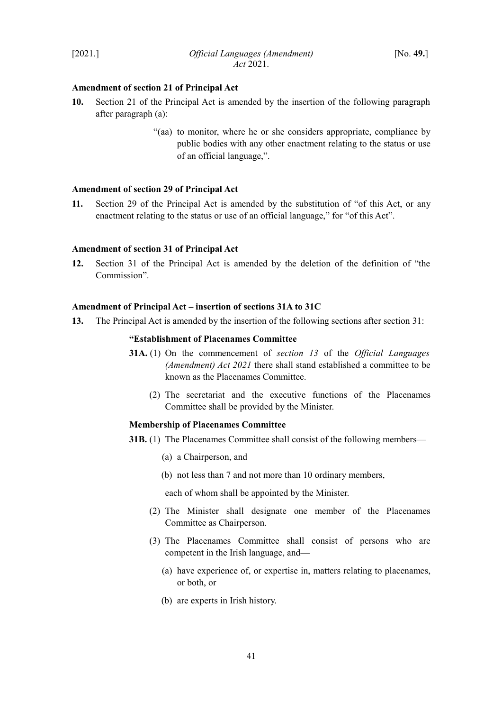## <span id="page-42-3"></span>**Amendment of section 21 of Principal Act**

- **10.** Section 21 of the Principal Act is amended by the insertion of the following paragraph after paragraph (a):
	- "(aa) to monitor, where he or she considers appropriate, compliance by public bodies with any other enactment relating to the status or use of an official language,".

## <span id="page-42-2"></span>**Amendment of section 29 of Principal Act**

**11.** Section 29 of the Principal Act is amended by the substitution of "of this Act, or any enactment relating to the status or use of an official language," for "of this Act".

#### <span id="page-42-1"></span>**Amendment of section 31 of Principal Act**

**12.** Section 31 of the Principal Act is amended by the deletion of the definition of "the Commission".

#### <span id="page-42-0"></span>**Amendment of Principal Act – insertion of sections 31A to 31C**

<span id="page-42-4"></span>**13.** The Principal Act is amended by the insertion of the following sections after section 31:

### **"Establishment of Placenames Committee**

- **31A.** (1) On the commencement of *section [13](#page-42-4)* of the *Official Languages (Amendment) Act 2021* there shall stand established a committee to be known as the Placenames Committee.
	- (2) The secretariat and the executive functions of the Placenames Committee shall be provided by the Minister.

## **Membership of Placenames Committee**

- **31B.** (1) The Placenames Committee shall consist of the following members—
	- (a) a Chairperson, and
	- (b) not less than 7 and not more than 10 ordinary members,

each of whom shall be appointed by the Minister.

- (2) The Minister shall designate one member of the Placenames Committee as Chairperson.
- (3) The Placenames Committee shall consist of persons who are competent in the Irish language, and—
	- (a) have experience of, or expertise in, matters relating to placenames, or both, or
	- (b) are experts in Irish history.

41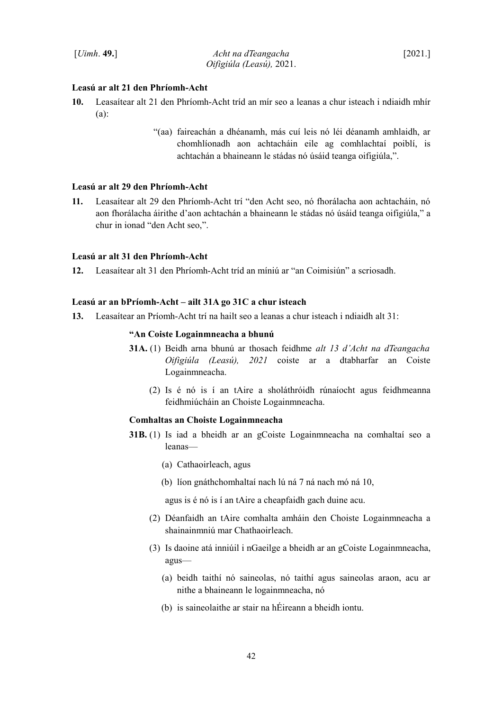# **Leasú ar alt 21 den Phríomh-Acht**

- **10.** Leasaítear alt 21 den Phríomh-Acht tríd an mír seo a leanas a chur isteach i ndiaidh mhír (a):
	- "(aa) faireachán a dhéanamh, más cuí leis nó léi déanamh amhlaidh, ar chomhlíonadh aon achtacháin eile ag comhlachtaí poiblí, is achtachán a bhaineann le stádas nó úsáid teanga oifigiúla,".

#### **Leasú ar alt 29 den Phríomh-Acht**

**11.** Leasaítear alt 29 den Phríomh-Acht trí "den Acht seo, nó fhorálacha aon achtacháin, nó aon fhorálacha áirithe d'aon achtachán a bhaineann le stádas nó úsáid teanga oifigiúla," a chur in ionad "den Acht seo,".

## **Leasú ar alt 31 den Phríomh-Acht**

**12.** Leasaítear alt 31 den Phríomh-Acht tríd an míniú ar "an Coimisiún" a scriosadh.

### **Leasú ar an bPríomh-Acht – ailt 31A go 31C a chur isteach**

**13.** Leasaítear an Príomh-Acht trí na hailt seo a leanas a chur isteach i ndiaidh alt 31:

#### **"An Coiste Logainmneacha a bhunú**

- **31A.** (1) Beidh arna bhunú ar thosach feidhme *alt 13 d'Acht na dTeangacha Oifigiúla (Leasú), 2021* coiste ar a dtabharfar an Coiste Logainmneacha.
	- (2) Is é nó is í an tAire a sholáthróidh rúnaíocht agus feidhmeanna feidhmiúcháin an Choiste Logainmneacha.

### **Comhaltas an Choiste Logainmneacha**

- **31B.** (1) Is iad a bheidh ar an gCoiste Logainmneacha na comhaltaí seo a leanas—
	- (a) Cathaoirleach, agus
	- (b) líon gnáthchomhaltaí nach lú ná 7 ná nach mó ná 10,

agus is é nó is í an tAire a cheapfaidh gach duine acu.

- (2) Déanfaidh an tAire comhalta amháin den Choiste Logainmneacha a shainainmniú mar Chathaoirleach.
- (3) Is daoine atá inniúil i nGaeilge a bheidh ar an gCoiste Logainmneacha, agus—
	- (a) beidh taithí nó saineolas, nó taithí agus saineolas araon, acu ar nithe a bhaineann le logainmneacha, nó
	- (b) is saineolaithe ar stair na hÉireann a bheidh iontu.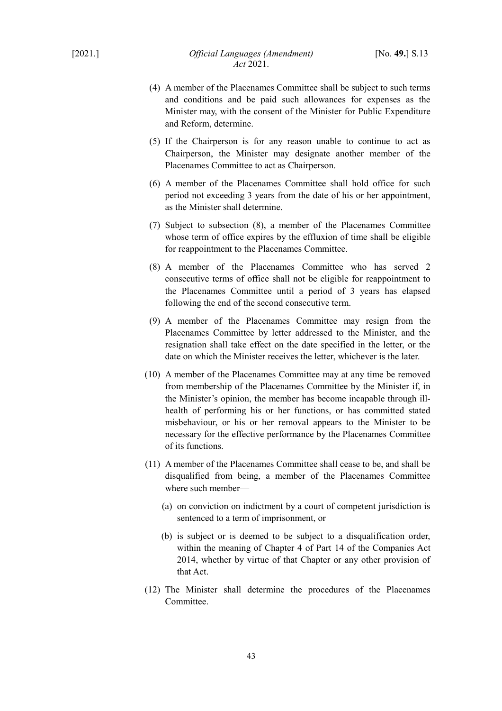- (4) A member of the Placenames Committee shall be subject to such terms and conditions and be paid such allowances for expenses as the Minister may, with the consent of the Minister for Public Expenditure and Reform, determine.
- (5) If the Chairperson is for any reason unable to continue to act as Chairperson, the Minister may designate another member of the Placenames Committee to act as Chairperson.
- (6) A member of the Placenames Committee shall hold office for such period not exceeding 3 years from the date of his or her appointment, as the Minister shall determine.
- (7) Subject to subsection (8), a member of the Placenames Committee whose term of office expires by the effluxion of time shall be eligible for reappointment to the Placenames Committee.
- (8) A member of the Placenames Committee who has served 2 consecutive terms of office shall not be eligible for reappointment to the Placenames Committee until a period of 3 years has elapsed following the end of the second consecutive term.
- (9) A member of the Placenames Committee may resign from the Placenames Committee by letter addressed to the Minister, and the resignation shall take effect on the date specified in the letter, or the date on which the Minister receives the letter, whichever is the later.
- (10) A member of the Placenames Committee may at any time be removed from membership of the Placenames Committee by the Minister if, in the Minister's opinion, the member has become incapable through illhealth of performing his or her functions, or has committed stated misbehaviour, or his or her removal appears to the Minister to be necessary for the effective performance by the Placenames Committee of its functions.
- (11) A member of the Placenames Committee shall cease to be, and shall be disqualified from being, a member of the Placenames Committee where such member—
	- (a) on conviction on indictment by a court of competent jurisdiction is sentenced to a term of imprisonment, or
	- (b) is subject or is deemed to be subject to a disqualification order, within the meaning of Chapter 4 of Part 14 of the Companies Act 2014, whether by virtue of that Chapter or any other provision of that Act.
- (12) The Minister shall determine the procedures of the Placenames Committee.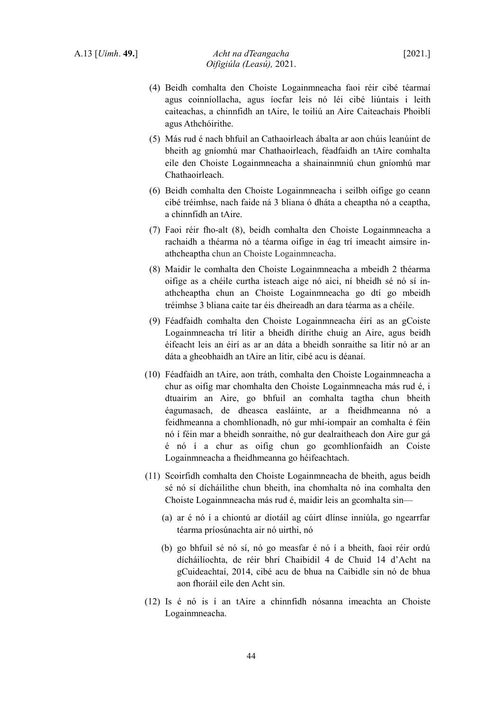- (4) Beidh comhalta den Choiste Logainmneacha faoi réir cibé téarmaí agus coinníollacha, agus íocfar leis nó léi cibé liúntais i leith caiteachas, a chinnfidh an tAire, le toiliú an Aire Caiteachais Phoiblí agus Athchóirithe.
- (5) Más rud é nach bhfuil an Cathaoirleach ábalta ar aon chúis leanúint de bheith ag gníomhú mar Chathaoirleach, féadfaidh an tAire comhalta eile den Choiste Logainmneacha a shainainmniú chun gníomhú mar Chathaoirleach.
- (6) Beidh comhalta den Choiste Logainmneacha i seilbh oifige go ceann cibé tréimhse, nach faide ná 3 bliana ó dháta a cheaptha nó a ceaptha, a chinnfidh an tAire.
- (7) Faoi réir fho-alt (8), beidh comhalta den Choiste Logainmneacha a rachaidh a théarma nó a téarma oifige in éag trí imeacht aimsire inathcheaptha chun an Choiste Logainmneacha.
- (8) Maidir le comhalta den Choiste Logainmneacha a mbeidh 2 théarma oifige as a chéile curtha isteach aige nó aici, ní bheidh sé nó sí inathcheaptha chun an Choiste Logainmneacha go dtí go mbeidh tréimhse 3 bliana caite tar éis dheireadh an dara téarma as a chéile.
- (9) Féadfaidh comhalta den Choiste Logainmneacha éirí as an gCoiste Logainmneacha trí litir a bheidh dírithe chuig an Aire, agus beidh éifeacht leis an éirí as ar an dáta a bheidh sonraithe sa litir nó ar an dáta a gheobhaidh an tAire an litir, cibé acu is déanaí.
- (10) Féadfaidh an tAire, aon tráth, comhalta den Choiste Logainmneacha a chur as oifig mar chomhalta den Choiste Logainmneacha más rud é, i dtuairim an Aire, go bhfuil an comhalta tagtha chun bheith éagumasach, de dheasca easláinte, ar a fheidhmeanna nó a feidhmeanna a chomhlíonadh, nó gur mhí-iompair an comhalta é féin nó í féin mar a bheidh sonraithe, nó gur dealraitheach don Aire gur gá é nó í a chur as oifig chun go gcomhlíonfaidh an Coiste Logainmneacha a fheidhmeanna go héifeachtach.
- (11) Scoirfidh comhalta den Choiste Logainmneacha de bheith, agus beidh sé nó sí dícháilithe chun bheith, ina chomhalta nó ina comhalta den Choiste Logainmneacha más rud é, maidir leis an gcomhalta sin—
	- (a) ar é nó í a chiontú ar díotáil ag cúirt dlínse inniúla, go ngearrfar téarma príosúnachta air nó uirthi, nó
	- (b) go bhfuil sé nó sí, nó go measfar é nó í a bheith, faoi réir ordú dícháilíochta, de réir bhrí Chaibidil 4 de Chuid 14 d'Acht na gCuideachtaí, 2014, cibé acu de bhua na Caibidle sin nó de bhua aon fhoráil eile den Acht sin.
- (12) Is é nó is í an tAire a chinnfidh nósanna imeachta an Choiste Logainmneacha.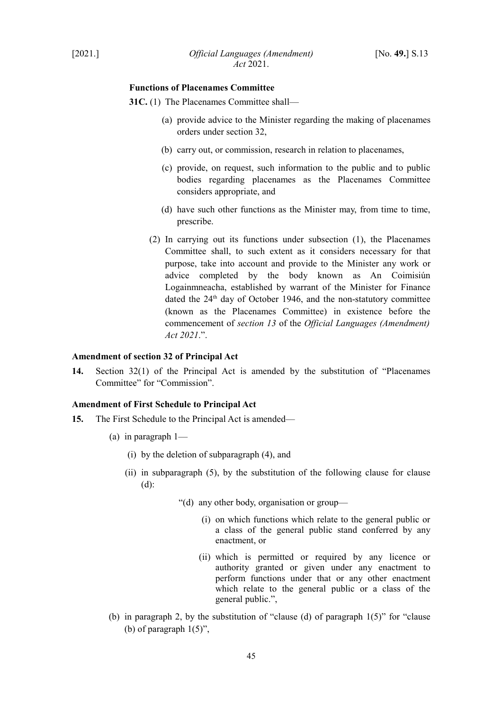## **Functions of Placenames Committee**

- **31C.** (1) The Placenames Committee shall—
	- (a) provide advice to the Minister regarding the making of placenames orders under section 32,
	- (b) carry out, or commission, research in relation to placenames,
	- (c) provide, on request, such information to the public and to public bodies regarding placenames as the Placenames Committee considers appropriate, and
	- (d) have such other functions as the Minister may, from time to time, prescribe.
	- (2) In carrying out its functions under subsection (1), the Placenames Committee shall, to such extent as it considers necessary for that purpose, take into account and provide to the Minister any work or advice completed by the body known as An Coimisiún Logainmneacha, established by warrant of the Minister for Finance dated the  $24<sup>th</sup>$  day of October 1946, and the non-statutory committee (known as the Placenames Committee) in existence before the commencement of *section [13](#page-42-4)* of the *Official Languages (Amendment) Act 2021*.".

## <span id="page-46-1"></span>**Amendment of section 32 of Principal Act**

**14.** Section 32(1) of the Principal Act is amended by the substitution of "Placenames Committee" for "Commission".

## <span id="page-46-0"></span>**Amendment of First Schedule to Principal Act**

- **15.** The First Schedule to the Principal Act is amended—
	- (a) in paragraph 1—
		- (i) by the deletion of subparagraph (4), and
		- (ii) in subparagraph (5), by the substitution of the following clause for clause (d):
			- "(d) any other body, organisation or group—
				- (i) on which functions which relate to the general public or a class of the general public stand conferred by any enactment, or
				- (ii) which is permitted or required by any licence or authority granted or given under any enactment to perform functions under that or any other enactment which relate to the general public or a class of the general public.",
	- (b) in paragraph 2, by the substitution of "clause (d) of paragraph  $1(5)$ " for "clause (b) of paragraph  $1(5)$ ",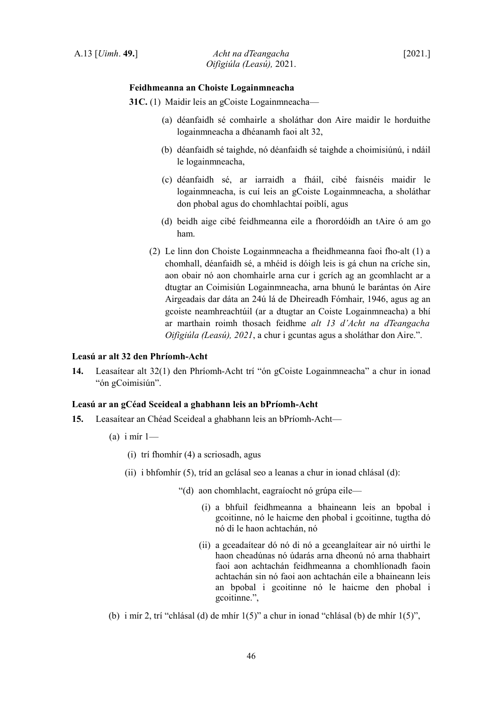## **Feidhmeanna an Choiste Logainmneacha**

**31C.** (1) Maidir leis an gCoiste Logainmneacha—

- (a) déanfaidh sé comhairle a sholáthar don Aire maidir le horduithe logainmneacha a dhéanamh faoi alt 32,
- (b) déanfaidh sé taighde, nó déanfaidh sé taighde a choimisiúnú, i ndáil le logainmneacha,
- (c) déanfaidh sé, ar iarraidh a fháil, cibé faisnéis maidir le logainmneacha, is cuí leis an gCoiste Logainmneacha, a sholáthar don phobal agus do chomhlachtaí poiblí, agus
- (d) beidh aige cibé feidhmeanna eile a fhorordóidh an tAire ó am go ham.
- (2) Le linn don Choiste Logainmneacha a fheidhmeanna faoi fho-alt (1) a chomhall, déanfaidh sé, a mhéid is dóigh leis is gá chun na críche sin, aon obair nó aon chomhairle arna cur i gcrích ag an gcomhlacht ar a dtugtar an Coimisiún Logainmneacha, arna bhunú le barántas ón Aire Airgeadais dar dáta an 24ú lá de Dheireadh Fómhair, 1946, agus ag an gcoiste neamhreachtúil (ar a dtugtar an Coiste Logainmneacha) a bhí ar marthain roimh thosach feidhme *alt 13 d'Acht na dTeangacha Oifigiúla (Leasú), 2021*, a chur i gcuntas agus a sholáthar don Aire.".

## **Leasú ar alt 32 den Phríomh-Acht**

**14.** Leasaítear alt 32(1) den Phríomh-Acht trí "ón gCoiste Logainmneacha" a chur in ionad "ón gCoimisiún".

## **Leasú ar an gCéad Sceideal a ghabhann leis an bPríomh-Acht**

- **15.** Leasaítear an Chéad Sceideal a ghabhann leis an bPríomh-Acht—
	- (a) i mír  $1-$ 
		- (i) trí fhomhír (4) a scriosadh, agus
		- (ii) i bhfomhír (5), tríd an gclásal seo a leanas a chur in ionad chlásal (d):
			- "(d) aon chomhlacht, eagraíocht nó grúpa eile—
				- (i) a bhfuil feidhmeanna a bhaineann leis an bpobal i gcoitinne, nó le haicme den phobal i gcoitinne, tugtha dó nó di le haon achtachán, nó
				- (ii) a gceadaítear dó nó di nó a gceanglaítear air nó uirthi le haon cheadúnas nó údarás arna dheonú nó arna thabhairt faoi aon achtachán feidhmeanna a chomhlíonadh faoin achtachán sin nó faoi aon achtachán eile a bhaineann leis an bpobal i gcoitinne nó le haicme den phobal i gcoitinne.",
	- (b) i mír 2, trí "chlásal (d) de mhír 1(5)" a chur in ionad "chlásal (b) de mhír 1(5)",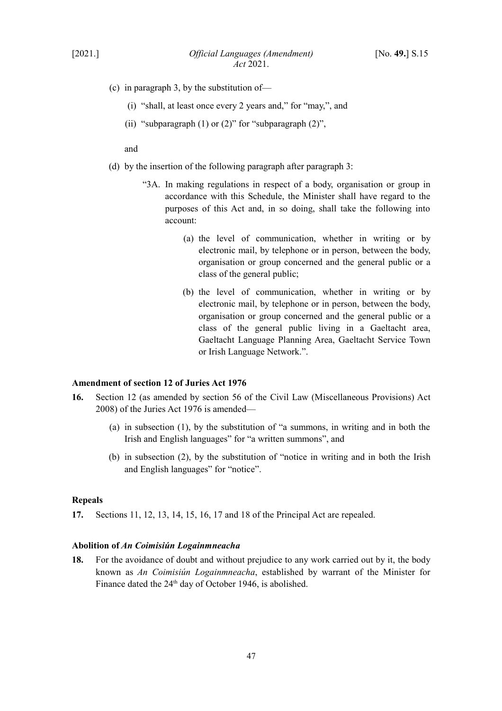- (c) in paragraph 3, by the substitution of—
	- (i) "shall, at least once every 2 years and," for "may,", and
	- (ii) "subparagraph  $(1)$  or  $(2)$ " for "subparagraph  $(2)$ ",

and

- (d) by the insertion of the following paragraph after paragraph 3:
	- "3A. In making regulations in respect of a body, organisation or group in accordance with this Schedule, the Minister shall have regard to the purposes of this Act and, in so doing, shall take the following into account:
		- (a) the level of communication, whether in writing or by electronic mail, by telephone or in person, between the body, organisation or group concerned and the general public or a class of the general public;
		- (b) the level of communication, whether in writing or by electronic mail, by telephone or in person, between the body, organisation or group concerned and the general public or a class of the general public living in a Gaeltacht area, Gaeltacht Language Planning Area, Gaeltacht Service Town or Irish Language Network.".

## <span id="page-48-2"></span>**Amendment of section 12 of Juries Act 1976**

- **16.** Section 12 (as amended by section 56 of the Civil Law (Miscellaneous Provisions) Act 2008) of the Juries Act 1976 is amended—
	- (a) in subsection (1), by the substitution of "a summons, in writing and in both the Irish and English languages" for "a written summons", and
	- (b) in subsection (2), by the substitution of "notice in writing and in both the Irish and English languages" for "notice".

#### <span id="page-48-1"></span>**Repeals**

**17.** Sections 11, 12, 13, 14, 15, 16, 17 and 18 of the Principal Act are repealed.

### <span id="page-48-0"></span>**Abolition of** *An Coimisiún Logainmneacha*

**18.** For the avoidance of doubt and without prejudice to any work carried out by it, the body known as *An Coimisiún Logainmneacha*, established by warrant of the Minister for Finance dated the 24<sup>th</sup> day of October 1946, is abolished.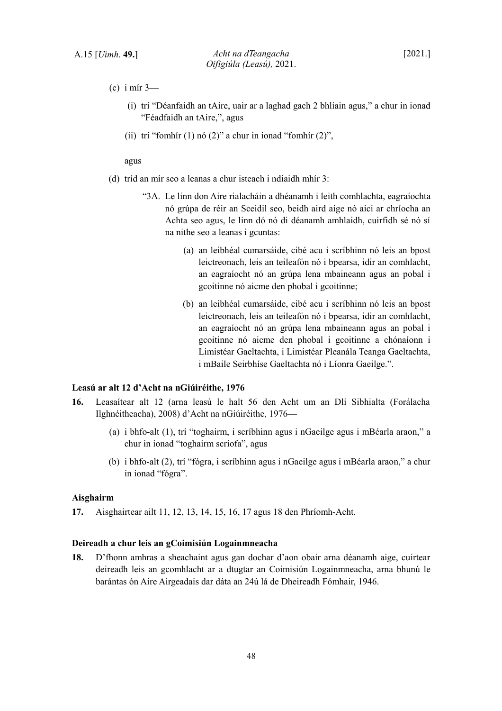- (c) i mír 3—
	- (i) trí "Déanfaidh an tAire, uair ar a laghad gach 2 bhliain agus," a chur in ionad "Féadfaidh an tAire,", agus
	- (ii) trí "fomhír (1) nó (2)" a chur in ionad "fomhír (2)",

agus

- (d) tríd an mír seo a leanas a chur isteach i ndiaidh mhír 3:
	- "3A. Le linn don Aire rialacháin a dhéanamh i leith comhlachta, eagraíochta nó grúpa de réir an Sceidil seo, beidh aird aige nó aici ar chríocha an Achta seo agus, le linn dó nó di déanamh amhlaidh, cuirfidh sé nó sí na nithe seo a leanas i gcuntas:
		- (a) an leibhéal cumarsáide, cibé acu i scríbhinn nó leis an bpost leictreonach, leis an teileafón nó i bpearsa, idir an comhlacht, an eagraíocht nó an grúpa lena mbaineann agus an pobal i gcoitinne nó aicme den phobal i gcoitinne;
		- (b) an leibhéal cumarsáide, cibé acu i scríbhinn nó leis an bpost leictreonach, leis an teileafón nó i bpearsa, idir an comhlacht, an eagraíocht nó an grúpa lena mbaineann agus an pobal i gcoitinne nó aicme den phobal i gcoitinne a chónaíonn i Limistéar Gaeltachta, i Limistéar Pleanála Teanga Gaeltachta, i mBaile Seirbhíse Gaeltachta nó i Líonra Gaeilge.".

### **Leasú ar alt 12 d'Acht na nGiúiréithe, 1976**

- **16.** Leasaítear alt 12 (arna leasú le halt 56 den Acht um an Dlí Sibhialta (Forálacha Ilghnéitheacha), 2008) d'Acht na nGiúiréithe, 1976—
	- (a) i bhfo-alt (1), trí "toghairm, i scríbhinn agus i nGaeilge agus i mBéarla araon," a chur in ionad "toghairm scríofa", agus
	- (b) i bhfo-alt (2), trí "fógra, i scríbhinn agus i nGaeilge agus i mBéarla araon," a chur in ionad "fógra".

#### **Aisghairm**

**17.** Aisghairtear ailt 11, 12, 13, 14, 15, 16, 17 agus 18 den Phríomh-Acht.

#### **Deireadh a chur leis an gCoimisiún Logainmneacha**

**18.** D'fhonn amhras a sheachaint agus gan dochar d'aon obair arna déanamh aige, cuirtear deireadh leis an gcomhlacht ar a dtugtar an Coimisiún Logainmneacha, arna bhunú le barántas ón Aire Airgeadais dar dáta an 24ú lá de Dheireadh Fómhair, 1946.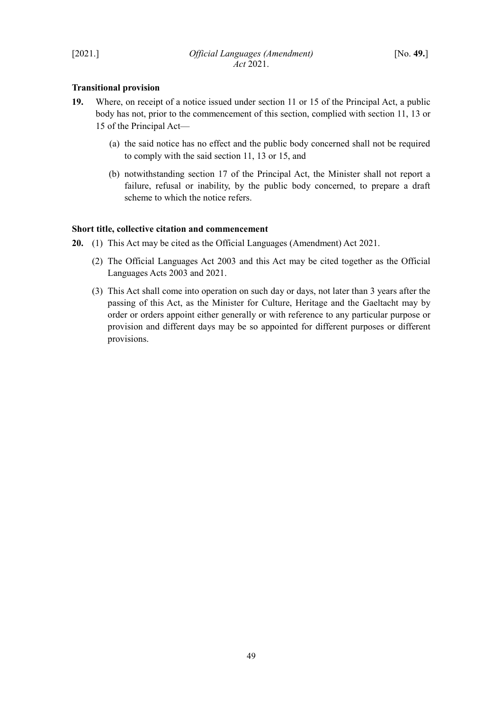## <span id="page-50-1"></span>**Transitional provision**

- **19.** Where, on receipt of a notice issued under section 11 or 15 of the Principal Act, a public body has not, prior to the commencement of this section, complied with section 11, 13 or 15 of the Principal Act—
	- (a) the said notice has no effect and the public body concerned shall not be required to comply with the said section 11, 13 or 15, and
	- (b) notwithstanding section 17 of the Principal Act, the Minister shall not report a failure, refusal or inability, by the public body concerned, to prepare a draft scheme to which the notice refers.

## <span id="page-50-0"></span>**Short title, collective citation and commencement**

- **20.** (1) This Act may be cited as the Official Languages (Amendment) Act 2021.
	- (2) The Official Languages Act 2003 and this Act may be cited together as the Official Languages Acts 2003 and 2021.
	- (3) This Act shall come into operation on such day or days, not later than 3 years after the passing of this Act, as the Minister for Culture, Heritage and the Gaeltacht may by order or orders appoint either generally or with reference to any particular purpose or provision and different days may be so appointed for different purposes or different provisions.